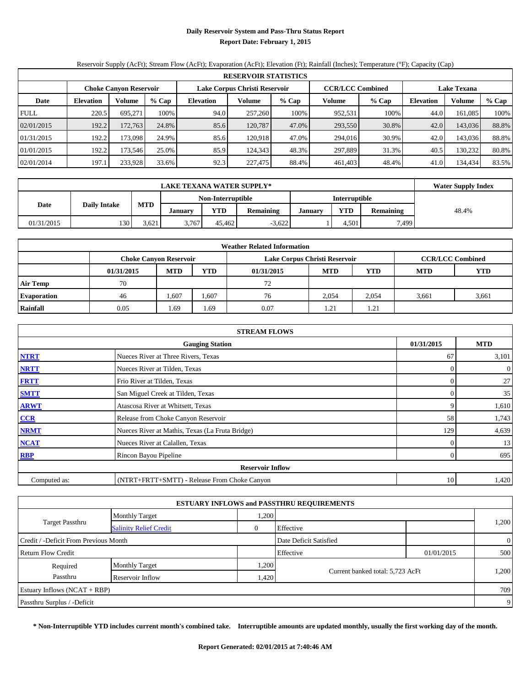# **Daily Reservoir System and Pass-Thru Status Report Report Date: February 1, 2015**

# Reservoir Supply (AcFt); Stream Flow (AcFt); Evaporation (AcFt); Elevation (Ft); Rainfall (Inches); Temperature (°F); Capacity (Cap)

|             | <b>RESERVOIR STATISTICS</b> |                               |       |                               |         |         |                         |       |                    |         |       |  |
|-------------|-----------------------------|-------------------------------|-------|-------------------------------|---------|---------|-------------------------|-------|--------------------|---------|-------|--|
|             |                             | <b>Choke Canyon Reservoir</b> |       | Lake Corpus Christi Reservoir |         |         | <b>CCR/LCC Combined</b> |       | <b>Lake Texana</b> |         |       |  |
| Date        | <b>Elevation</b>            | % Cap<br>Volume               |       | <b>Elevation</b>              | Volume  | $%$ Cap | Volume                  | % Cap | Elevation          | Volume  | % Cap |  |
| <b>FULL</b> | 220.5                       | 695.271                       | 100%  | 94.0                          | 257,260 | 100%    | 952,531                 | 100%  | 44.0               | 161,085 | 100%  |  |
| 02/01/2015  | 192.2                       | 172.763                       | 24.8% | 85.6                          | 120.787 | 47.0%   | 293,550                 | 30.8% | 42.0               | 143,036 | 88.8% |  |
| 01/31/2015  | 192.2                       | 173.0981                      | 24.9% | 85.6                          | 120.918 | 47.0%   | 294.016                 | 30.9% | 42.0               | 143,036 | 88.8% |  |
| 01/01/2015  | 192.2                       | 173.546                       | 25.0% | 85.9                          | 124.343 | 48.3%   | 297.889                 | 31.3% | 40.5               | 130.232 | 80.8% |  |
| 02/01/2014  | 197.1                       | 233,928                       | 33.6% | 92.3                          | 227,475 | 88.4%   | 461.403                 | 48.4% | 41.0               | 134,434 | 83.5% |  |

|            | <b>LAKE TEXANA WATER SUPPLY*</b> |            |         |                   |           |         |                      |                  |       |  |  |
|------------|----------------------------------|------------|---------|-------------------|-----------|---------|----------------------|------------------|-------|--|--|
|            |                                  |            |         | Non-Interruptible |           |         | <b>Interruptible</b> |                  |       |  |  |
| Date       | <b>Daily Intake</b>              | <b>MTD</b> | January | YTD               | Remaining | January | YTD                  | <b>Remaining</b> | 48.4% |  |  |
| 01/31/2015 | 130                              | 3,621      | 3,767   | 45.462            | $-3,622$  |         | 4,501                | 7.499            |       |  |  |

| <b>Weather Related Information</b> |            |                               |                                                             |      |                               |                         |       |       |  |  |  |
|------------------------------------|------------|-------------------------------|-------------------------------------------------------------|------|-------------------------------|-------------------------|-------|-------|--|--|--|
|                                    |            | <b>Choke Canyon Reservoir</b> |                                                             |      | Lake Corpus Christi Reservoir | <b>CCR/LCC Combined</b> |       |       |  |  |  |
|                                    | 01/31/2015 | <b>MTD</b>                    | <b>YTD</b><br><b>MTD</b><br><b>MTD</b><br>YTD<br>01/31/2015 |      |                               |                         |       |       |  |  |  |
| <b>Air Temp</b>                    | 70         |                               |                                                             | 72   |                               |                         |       |       |  |  |  |
| <b>Evaporation</b>                 | 46         | 1,607                         | 1,607                                                       | 76   | 2,054                         | 2,054                   | 3,661 | 3,661 |  |  |  |
| Rainfall                           | 0.05       | 1.69                          | . 69                                                        | 0.07 | 1.21                          | 1.21                    |       |       |  |  |  |

| <b>STREAM FLOWS</b>                  |                                                 |          |                  |  |  |  |  |  |
|--------------------------------------|-------------------------------------------------|----------|------------------|--|--|--|--|--|
| 01/31/2015<br><b>Gauging Station</b> |                                                 |          |                  |  |  |  |  |  |
| <b>NTRT</b>                          | Nueces River at Three Rivers, Texas             | 67       | 3,101            |  |  |  |  |  |
| <b>NRTT</b>                          | Nueces River at Tilden, Texas                   | $\Omega$ | $\boldsymbol{0}$ |  |  |  |  |  |
| <b>FRTT</b>                          | Frio River at Tilden, Texas                     | 0        | 27               |  |  |  |  |  |
| <b>SMTT</b>                          | San Miguel Creek at Tilden, Texas               | 0        | 35               |  |  |  |  |  |
| <b>ARWT</b>                          | Atascosa River at Whitsett, Texas               |          | 1,610            |  |  |  |  |  |
| CCR                                  | Release from Choke Canyon Reservoir             | 58       | 1,743            |  |  |  |  |  |
| <b>NRMT</b>                          | Nueces River at Mathis, Texas (La Fruta Bridge) | 129      | 4,639            |  |  |  |  |  |
| <b>NCAT</b>                          | Nueces River at Calallen, Texas                 |          | 13               |  |  |  |  |  |
| RBP                                  | Rincon Bayou Pipeline                           | $\Omega$ | 695              |  |  |  |  |  |
|                                      | <b>Reservoir Inflow</b>                         |          |                  |  |  |  |  |  |
| Computed as:                         | (NTRT+FRTT+SMTT) - Release From Choke Canyon    | 10       | 1,420            |  |  |  |  |  |

|                                       |                               |              | <b>ESTUARY INFLOWS and PASSTHRU REQUIREMENTS</b> |            |                |  |
|---------------------------------------|-------------------------------|--------------|--------------------------------------------------|------------|----------------|--|
|                                       | <b>Monthly Target</b>         | .200         |                                                  |            |                |  |
| <b>Target Passthru</b>                | <b>Salinity Relief Credit</b> | $\mathbf{0}$ | Effective                                        |            | 1,200          |  |
| Credit / -Deficit From Previous Month |                               |              | Date Deficit Satisfied                           |            | $\overline{0}$ |  |
| <b>Return Flow Credit</b>             |                               |              | Effective                                        | 01/01/2015 | 500            |  |
| Required                              | <b>Monthly Target</b>         | ,200         |                                                  |            |                |  |
| Passthru                              | Reservoir Inflow              | 1,420        | Current banked total: 5,723 AcFt                 |            | 1,200          |  |
| Estuary Inflows $(NCAT + RBP)$        |                               |              |                                                  |            | 709            |  |
| Passthru Surplus / -Deficit           |                               |              |                                                  |            | -9             |  |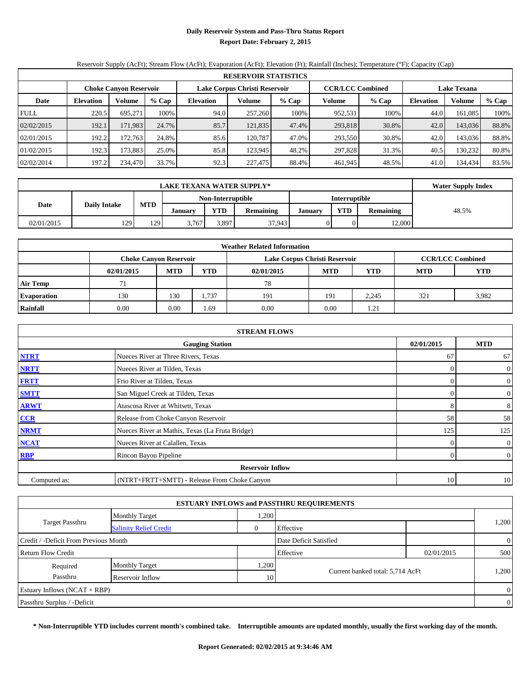#### **Daily Reservoir System and Pass-Thru Status Report Report Date: February 2, 2015**

# Reservoir Supply (AcFt); Stream Flow (AcFt); Evaporation (AcFt); Elevation (Ft); Rainfall (Inches); Temperature (°F); Capacity (Cap)

| <b>RESERVOIR STATISTICS</b> |                            |                               |       |                  |                               |       |                                               |       |                  |               |       |
|-----------------------------|----------------------------|-------------------------------|-------|------------------|-------------------------------|-------|-----------------------------------------------|-------|------------------|---------------|-------|
|                             |                            | <b>Choke Canyon Reservoir</b> |       |                  | Lake Corpus Christi Reservoir |       | <b>CCR/LCC Combined</b><br><b>Lake Texana</b> |       |                  |               |       |
| Date                        | Volume<br><b>Elevation</b> |                               | % Cap | <b>Elevation</b> | Volume                        | % Cap | Volume                                        | % Cap | <b>Elevation</b> | <b>Volume</b> | % Cap |
| <b>FULL</b>                 | 220.5                      | 695.271                       | 100%  | 94.0             | 257,260                       | 100%  | 952,531                                       | 100%  | 44.0             | 161.085       | 100%  |
| 02/02/2015                  | 192.1                      | 171.983                       | 24.7% | 85.7             | 121,835                       | 47.4% | 293,818                                       | 30.8% | 42.0             | 143,036       | 88.8% |
| 02/01/2015                  | 192.2                      | 172.7631                      | 24.8% | 85.6             | 120.787                       | 47.0% | 293,550                                       | 30.8% | 42.0             | 143,036       | 88.8% |
| 01/02/2015                  | 192.3                      | 173.8831                      | 25.0% | 85.8             | 123.945                       | 48.2% | 297.828                                       | 31.3% | 40.5             | 130.232       | 80.8% |
| 02/02/2014                  | 197.2                      | 234,470                       | 33.7% | 92.3             | 227,475                       | 88.4% | 461,945                                       | 48.5% | 41.0             | 134,434       | 83.5% |

|            | <b>LAKE TEXANA WATER SUPPLY*</b> |            |         |                   |                  |               |            |                  |       |  |  |  |
|------------|----------------------------------|------------|---------|-------------------|------------------|---------------|------------|------------------|-------|--|--|--|
|            |                                  |            |         | Non-Interruptible |                  | Interruptible |            |                  |       |  |  |  |
| Date       | <b>Daily Intake</b>              | <b>MTD</b> | Januarv | YTD               | <b>Remaining</b> | January       | <b>YTD</b> | <b>Remaining</b> | 48.5% |  |  |  |
| 02/01/2015 | 129                              | 129        | 3,767   | 3,897             | 37.943           |               |            | 12,000           |       |  |  |  |

| <b>Weather Related Information</b> |                                                                                         |                               |       |                               |      |       |                         |       |  |  |  |
|------------------------------------|-----------------------------------------------------------------------------------------|-------------------------------|-------|-------------------------------|------|-------|-------------------------|-------|--|--|--|
|                                    |                                                                                         | <b>Choke Canyon Reservoir</b> |       | Lake Corpus Christi Reservoir |      |       | <b>CCR/LCC Combined</b> |       |  |  |  |
|                                    | <b>MTD</b><br><b>YTD</b><br>YTD<br><b>MTD</b><br><b>MTD</b><br>02/01/2015<br>02/01/2015 |                               |       |                               |      |       |                         |       |  |  |  |
| <b>Air Temp</b>                    |                                                                                         |                               |       | 78                            |      |       |                         |       |  |  |  |
| <b>Evaporation</b>                 | 130                                                                                     | 130                           | 1,737 | 191                           | 191  | 2.245 | 321                     | 3,982 |  |  |  |
| Rainfall                           | 0.00                                                                                    | 0.00                          | .69   | 0.00                          | 0.00 | 1.21  |                         |       |  |  |  |

| <b>STREAM FLOWS</b> |                                                    |          |                |  |  |  |  |  |
|---------------------|----------------------------------------------------|----------|----------------|--|--|--|--|--|
|                     | <b>MTD</b><br>02/01/2015<br><b>Gauging Station</b> |          |                |  |  |  |  |  |
| <b>NTRT</b>         | Nueces River at Three Rivers, Texas                | 67       | 67             |  |  |  |  |  |
| <b>NRTT</b>         | Nueces River at Tilden, Texas                      | $\theta$ | $\overline{0}$ |  |  |  |  |  |
| <b>FRTT</b>         | Frio River at Tilden, Texas                        | $\Omega$ | $\overline{0}$ |  |  |  |  |  |
| <b>SMTT</b>         | San Miguel Creek at Tilden, Texas                  | $\Omega$ | $\overline{0}$ |  |  |  |  |  |
| <b>ARWT</b>         | Atascosa River at Whitsett, Texas                  | 8        | 8              |  |  |  |  |  |
| CCR                 | Release from Choke Canyon Reservoir                | 58       | 58             |  |  |  |  |  |
| <b>NRMT</b>         | Nueces River at Mathis, Texas (La Fruta Bridge)    | 125      | 125            |  |  |  |  |  |
| <b>NCAT</b>         | Nueces River at Calallen, Texas                    | $\theta$ | $\overline{0}$ |  |  |  |  |  |
| RBP                 | Rincon Bayou Pipeline                              | $\Omega$ | $\overline{0}$ |  |  |  |  |  |
|                     | <b>Reservoir Inflow</b>                            |          |                |  |  |  |  |  |
| Computed as:        | (NTRT+FRTT+SMTT) - Release From Choke Canyon       | 10       | 10             |  |  |  |  |  |

| <b>ESTUARY INFLOWS and PASSTHRU REQUIREMENTS</b> |                               |              |                                  |            |                |  |  |  |  |
|--------------------------------------------------|-------------------------------|--------------|----------------------------------|------------|----------------|--|--|--|--|
|                                                  | <b>Monthly Target</b>         | .200         |                                  |            |                |  |  |  |  |
| <b>Target Passthru</b>                           | <b>Salinity Relief Credit</b> | $\mathbf{0}$ | Effective                        |            | 1,200          |  |  |  |  |
| Credit / -Deficit From Previous Month            |                               |              | Date Deficit Satisfied           |            | $\overline{0}$ |  |  |  |  |
| <b>Return Flow Credit</b>                        |                               |              | Effective                        | 02/01/2015 | 500            |  |  |  |  |
| Required                                         | <b>Monthly Target</b>         | .200         |                                  |            |                |  |  |  |  |
| Passthru                                         | Reservoir Inflow              | 10           | Current banked total: 5,714 AcFt |            | 1,200          |  |  |  |  |
| Estuary Inflows $(NCAT + RBP)$                   |                               |              |                                  |            | $\overline{0}$ |  |  |  |  |
| Passthru Surplus / -Deficit                      |                               |              |                                  |            | $\overline{0}$ |  |  |  |  |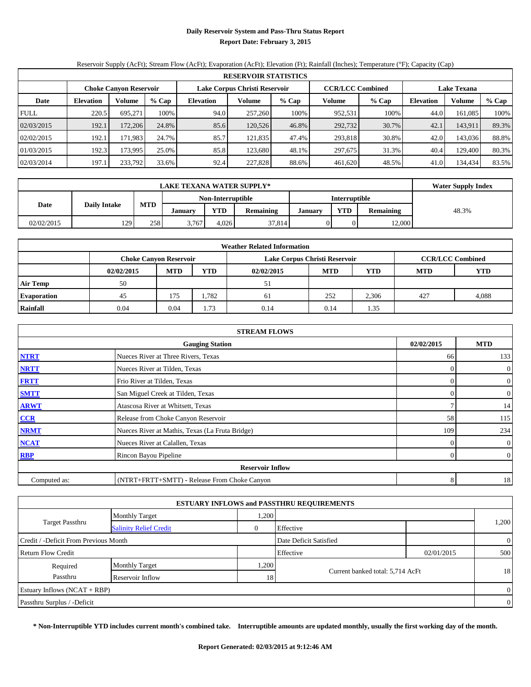#### **Daily Reservoir System and Pass-Thru Status Report Report Date: February 3, 2015**

# Reservoir Supply (AcFt); Stream Flow (AcFt); Evaporation (AcFt); Elevation (Ft); Rainfall (Inches); Temperature (°F); Capacity (Cap)

|             | <b>RESERVOIR STATISTICS</b> |                               |       |                               |         |       |                         |       |             |         |       |  |
|-------------|-----------------------------|-------------------------------|-------|-------------------------------|---------|-------|-------------------------|-------|-------------|---------|-------|--|
|             |                             | <b>Choke Canyon Reservoir</b> |       | Lake Corpus Christi Reservoir |         |       | <b>CCR/LCC Combined</b> |       | Lake Texana |         |       |  |
| Date        | <b>Elevation</b>            | <b>Volume</b>                 | % Cap | <b>Elevation</b>              | Volume  | % Cap | Volume                  | % Cap | Elevation   | Volume  | % Cap |  |
| <b>FULL</b> | 220.5                       | 695.271                       | 100%  | 94.0                          | 257,260 | 100%  | 952,531                 | 100%  | 44.0        | 161.085 | 100%  |  |
| 02/03/2015  | 192.1                       | 172.2061                      | 24.8% | 85.6                          | 120.526 | 46.8% | 292,732                 | 30.7% | 42.1        | 143,911 | 89.3% |  |
| 02/02/2015  | 192.1                       | 171.9831                      | 24.7% | 85.7                          | 121.835 | 47.4% | 293.818                 | 30.8% | 42.0        | 143,036 | 88.8% |  |
| 01/03/2015  | 192.3                       | 173.9951                      | 25.0% | 85.8                          | 123.680 | 48.1% | 297.675                 | 31.3% | 40.4        | 129.400 | 80.3% |  |
| 02/03/2014  | 197.1                       | 233,792                       | 33.6% | 92.4                          | 227,828 | 88.6% | 461,620                 | 48.5% | 41.0        | 134,434 | 83.5% |  |

|            | <b>LAKE TEXANA WATER SUPPLY*</b> |            |         |                   |                  |         |                      |                  |       |  |  |  |
|------------|----------------------------------|------------|---------|-------------------|------------------|---------|----------------------|------------------|-------|--|--|--|
|            |                                  |            |         | Non-Interruptible |                  |         | <b>Interruptible</b> |                  |       |  |  |  |
| Date       | <b>Daily Intake</b>              | <b>MTD</b> | Januarv | <b>YTD</b>        | <b>Remaining</b> | January | <b>YTD</b>           | <b>Remaining</b> | 48.3% |  |  |  |
| 02/02/2015 | 129                              | 258        | 3,767   | 4.026             | 37,814           |         |                      | 12,000           |       |  |  |  |

| <b>Weather Related Information</b> |            |                               |            |                               |      |                         |            |       |  |  |
|------------------------------------|------------|-------------------------------|------------|-------------------------------|------|-------------------------|------------|-------|--|--|
|                                    |            | <b>Choke Canyon Reservoir</b> |            | Lake Corpus Christi Reservoir |      | <b>CCR/LCC Combined</b> |            |       |  |  |
|                                    | 02/02/2015 | <b>MTD</b>                    | <b>YTD</b> | 02/02/2015                    | YTD  | <b>MTD</b>              | <b>YTD</b> |       |  |  |
| <b>Air Temp</b>                    | 50         |                               |            | 51                            |      |                         |            |       |  |  |
| <b>Evaporation</b>                 | 45         | 175                           | 1.782      | 61                            | 252  | 2,306                   | 427        | 4,088 |  |  |
| <b>Rainfall</b>                    | 0.04       | 0.04                          | 1.73       | 0.14                          | 0.14 | 1.35                    |            |       |  |  |

| <b>STREAM FLOWS</b> |                                                 |                |                |  |  |  |  |  |  |
|---------------------|-------------------------------------------------|----------------|----------------|--|--|--|--|--|--|
|                     | <b>Gauging Station</b>                          |                |                |  |  |  |  |  |  |
| <b>NTRT</b>         | Nueces River at Three Rivers, Texas             | 66             | 133            |  |  |  |  |  |  |
| <b>NRTT</b>         | Nueces River at Tilden, Texas                   | $\Omega$       | $\overline{0}$ |  |  |  |  |  |  |
| <b>FRTT</b>         | Frio River at Tilden, Texas                     | $\Omega$       | $\mathbf{0}$   |  |  |  |  |  |  |
| <b>SMTT</b>         | San Miguel Creek at Tilden, Texas               | $\Omega$       | $\overline{0}$ |  |  |  |  |  |  |
| <b>ARWT</b>         | Atascosa River at Whitsett, Texas               |                | 14             |  |  |  |  |  |  |
| CCR                 | Release from Choke Canyon Reservoir             | 58             | 115            |  |  |  |  |  |  |
| <b>NRMT</b>         | Nueces River at Mathis, Texas (La Fruta Bridge) | 109            | 234            |  |  |  |  |  |  |
| <b>NCAT</b>         | Nueces River at Calallen, Texas                 | $\Omega$       | $\overline{0}$ |  |  |  |  |  |  |
| RBP                 | Rincon Bayou Pipeline                           | $\overline{0}$ | $\overline{0}$ |  |  |  |  |  |  |
|                     | <b>Reservoir Inflow</b>                         |                |                |  |  |  |  |  |  |
| Computed as:        | (NTRT+FRTT+SMTT) - Release From Choke Canyon    | 8              | 18             |  |  |  |  |  |  |

|                                       |                               |                | <b>ESTUARY INFLOWS and PASSTHRU REQUIREMENTS</b> |            |                |
|---------------------------------------|-------------------------------|----------------|--------------------------------------------------|------------|----------------|
|                                       | <b>Monthly Target</b>         | .200           |                                                  |            |                |
| <b>Target Passthru</b>                | <b>Salinity Relief Credit</b> | $\overline{0}$ | Effective                                        |            | 1,200          |
| Credit / -Deficit From Previous Month |                               |                | Date Deficit Satisfied                           |            | $\overline{0}$ |
| <b>Return Flow Credit</b>             |                               |                | Effective                                        | 02/01/2015 | 500            |
| Required                              | <b>Monthly Target</b>         | .200           |                                                  |            |                |
| Passthru                              | Reservoir Inflow              | 18             | Current banked total: 5,714 AcFt                 |            | 18             |
| Estuary Inflows $(NCAT + RBP)$        |                               |                |                                                  |            | $\overline{0}$ |
| Passthru Surplus / -Deficit           |                               |                |                                                  |            | $\overline{0}$ |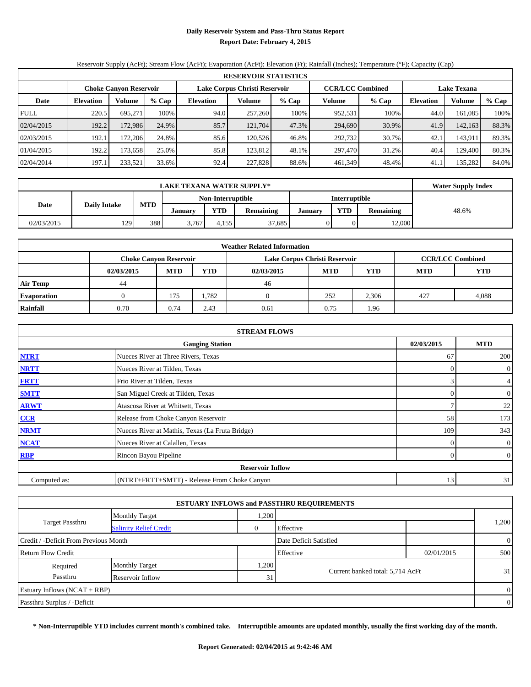#### **Daily Reservoir System and Pass-Thru Status Report Report Date: February 4, 2015**

# Reservoir Supply (AcFt); Stream Flow (AcFt); Evaporation (AcFt); Elevation (Ft); Rainfall (Inches); Temperature (°F); Capacity (Cap)

| <b>RESERVOIR STATISTICS</b> |                  |                               |       |                  |                               |         |         |                         |                    |         |       |
|-----------------------------|------------------|-------------------------------|-------|------------------|-------------------------------|---------|---------|-------------------------|--------------------|---------|-------|
|                             |                  | <b>Choke Canyon Reservoir</b> |       |                  | Lake Corpus Christi Reservoir |         |         | <b>CCR/LCC Combined</b> | <b>Lake Texana</b> |         |       |
| Date                        | <b>Elevation</b> | Volume                        | % Cap | <b>Elevation</b> | Volume                        | $%$ Cap | Volume  | $%$ Cap                 | Elevation          | Volume  | % Cap |
| <b>FULL</b>                 | 220.5            | 695.271                       | 100%  | 94.0             | 257,260                       | 100%    | 952,531 | 100%                    | 44.0               | 161,085 | 100%  |
| 02/04/2015                  | 192.2            | 172.986                       | 24.9% | 85.7             | 121,704                       | 47.3%   | 294,690 | 30.9%                   | 41.9               | 142,163 | 88.3% |
| 02/03/2015                  | 192.1            | 172.206                       | 24.8% | 85.6             | 120.526                       | 46.8%   | 292,732 | 30.7%                   | 42.1               | 143.911 | 89.3% |
| 01/04/2015                  | 192.2            | 173.658                       | 25.0% | 85.8             | 123.812                       | 48.1%   | 297,470 | 31.2%                   | 40.4               | 129,400 | 80.3% |
| 02/04/2014                  | 197.1            | 233,521                       | 33.6% | 92.4             | 227,828                       | 88.6%   | 461,349 | 48.4%                   | 41.1               | 135,282 | 84.0% |

|            | <b>Water Supply Index</b>          |            |         |       |                  |         |            |                  |       |
|------------|------------------------------------|------------|---------|-------|------------------|---------|------------|------------------|-------|
|            | Interruptible<br>Non-Interruptible |            |         |       |                  |         |            |                  |       |
| Date       | <b>Daily Intake</b>                | <b>MTD</b> | January | YTD   | <b>Remaining</b> | January | <b>VTD</b> | <b>Remaining</b> | 48.6% |
| 02/03/2015 | 129                                | 388        | 3,767   | 4.155 | 37.685           |         |            | 12.000           |       |

| <b>Weather Related Information</b> |            |                               |            |                               |            |                         |            |            |  |  |
|------------------------------------|------------|-------------------------------|------------|-------------------------------|------------|-------------------------|------------|------------|--|--|
|                                    |            | <b>Choke Canyon Reservoir</b> |            | Lake Corpus Christi Reservoir |            | <b>CCR/LCC Combined</b> |            |            |  |  |
|                                    | 02/03/2015 | <b>MTD</b>                    | <b>YTD</b> | 02/03/2015                    | <b>MTD</b> | YTD                     | <b>MTD</b> | <b>YTD</b> |  |  |
| <b>Air Temp</b>                    | 44         |                               |            | 46                            |            |                         |            |            |  |  |
| <b>Evaporation</b>                 |            | 175                           | .782       |                               | 252        | 2,306                   | 427        | 4,088      |  |  |
| Rainfall                           | 0.70       | 0.74                          | 2.43       | 0.61                          | 0.75       | 1.96                    |            |            |  |  |

| <b>STREAM FLOWS</b> |                                                 |            |                |  |  |  |  |  |  |
|---------------------|-------------------------------------------------|------------|----------------|--|--|--|--|--|--|
|                     | <b>Gauging Station</b>                          | 02/03/2015 | <b>MTD</b>     |  |  |  |  |  |  |
| <b>NTRT</b>         | Nueces River at Three Rivers, Texas             | 67         | 200            |  |  |  |  |  |  |
| <b>NRTT</b>         | Nueces River at Tilden, Texas                   | $\theta$   | $\overline{0}$ |  |  |  |  |  |  |
| <b>FRTT</b>         | Frio River at Tilden, Texas                     | 3          | $\overline{4}$ |  |  |  |  |  |  |
| <b>SMTT</b>         | San Miguel Creek at Tilden, Texas               | $\Omega$   | $\overline{0}$ |  |  |  |  |  |  |
| <b>ARWT</b>         | Atascosa River at Whitsett, Texas               |            | 22             |  |  |  |  |  |  |
| CCR                 | Release from Choke Canyon Reservoir             | 58         | 173            |  |  |  |  |  |  |
| <b>NRMT</b>         | Nueces River at Mathis, Texas (La Fruta Bridge) | 109        | 343            |  |  |  |  |  |  |
| <b>NCAT</b>         | Nueces River at Calallen, Texas                 | $\Omega$   | $\overline{0}$ |  |  |  |  |  |  |
| RBP                 | Rincon Bayou Pipeline                           | $\Omega$   | $\overline{0}$ |  |  |  |  |  |  |
|                     | <b>Reservoir Inflow</b>                         |            |                |  |  |  |  |  |  |
| Computed as:        | (NTRT+FRTT+SMTT) - Release From Choke Canyon    | 13         | 31             |  |  |  |  |  |  |

|                                       |                               |              | <b>ESTUARY INFLOWS and PASSTHRU REQUIREMENTS</b> |            |                |
|---------------------------------------|-------------------------------|--------------|--------------------------------------------------|------------|----------------|
|                                       | <b>Monthly Target</b>         | .200         |                                                  |            |                |
| <b>Target Passthru</b>                | <b>Salinity Relief Credit</b> | $\mathbf{0}$ | Effective                                        |            | 1,200          |
| Credit / -Deficit From Previous Month |                               |              | Date Deficit Satisfied                           |            | $\overline{0}$ |
| <b>Return Flow Credit</b>             |                               |              | Effective                                        | 02/01/2015 | 500            |
| Required                              | <b>Monthly Target</b>         | .200         |                                                  |            |                |
| Passthru                              | Reservoir Inflow              | 31           | Current banked total: 5,714 AcFt                 |            | 31             |
| Estuary Inflows $(NCAT + RBP)$        |                               |              |                                                  |            | $\overline{0}$ |
| Passthru Surplus / -Deficit           |                               |              |                                                  |            | $\overline{0}$ |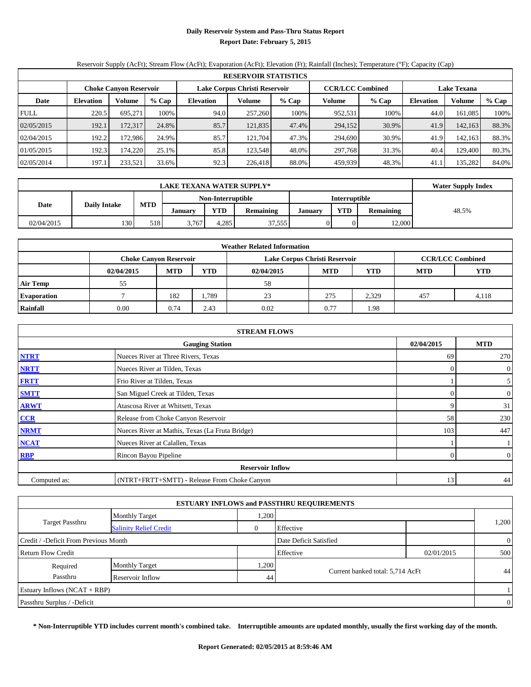#### **Daily Reservoir System and Pass-Thru Status Report Report Date: February 5, 2015**

# Reservoir Supply (AcFt); Stream Flow (AcFt); Evaporation (AcFt); Elevation (Ft); Rainfall (Inches); Temperature (°F); Capacity (Cap)

|             | <b>RESERVOIR STATISTICS</b> |                               |       |                  |                               |       |         |                         |                  |         |       |
|-------------|-----------------------------|-------------------------------|-------|------------------|-------------------------------|-------|---------|-------------------------|------------------|---------|-------|
|             |                             | <b>Choke Canyon Reservoir</b> |       |                  | Lake Corpus Christi Reservoir |       |         | <b>CCR/LCC Combined</b> | Lake Texana      |         |       |
| Date        | <b>Elevation</b>            | <b>Volume</b>                 | % Cap | <b>Elevation</b> | Volume                        | % Cap | Volume  | % Cap                   | <b>Elevation</b> | Volume  | % Cap |
| <b>FULL</b> | 220.5                       | 695.271                       | 100%  | 94.0             | 257,260                       | 100%  | 952,531 | 100%                    | 44.0             | 161.085 | 100%  |
| 02/05/2015  | 192.1                       | 172.3171                      | 24.8% | 85.7             | 121,835                       | 47.4% | 294,152 | 30.9%                   | 41.9             | 142,163 | 88.3% |
| 02/04/2015  | 192.2                       | 172.9861                      | 24.9% | 85.7             | 121.704                       | 47.3% | 294.690 | 30.9%                   | 41.9             | 142,163 | 88.3% |
| 01/05/2015  | 192.3                       | 174.220                       | 25.1% | 85.8             | 123.548                       | 48.0% | 297.768 | 31.3%                   | 40.4             | 129.400 | 80.3% |
| 02/05/2014  | 197.1                       | 233,521                       | 33.6% | 92.3             | 226,418                       | 88.0% | 459.939 | 48.3%                   | 41.1             | 135,282 | 84.0% |

|            | <b>Water Supply Index</b> |            |                   |            |                  |               |            |                  |       |
|------------|---------------------------|------------|-------------------|------------|------------------|---------------|------------|------------------|-------|
|            |                           |            | Non-Interruptible |            |                  | Interruptible |            |                  |       |
| Date       | <b>Daily Intake</b>       | <b>MTD</b> | <b>January</b>    | <b>YTD</b> | <b>Remaining</b> | January       | <b>VTD</b> | <b>Remaining</b> | 48.5% |
| 02/04/2015 | 130                       | 518        | 3,767             | 4.285      | 37,555           |               |            | 12,000           |       |

| <b>Weather Related Information</b> |            |                               |            |            |                               |                         |            |            |  |  |
|------------------------------------|------------|-------------------------------|------------|------------|-------------------------------|-------------------------|------------|------------|--|--|
|                                    |            | <b>Choke Canyon Reservoir</b> |            |            | Lake Corpus Christi Reservoir | <b>CCR/LCC Combined</b> |            |            |  |  |
|                                    | 02/04/2015 | <b>MTD</b>                    | <b>YTD</b> | 02/04/2015 | <b>MTD</b>                    | YTD                     | <b>MTD</b> | <b>YTD</b> |  |  |
| <b>Air Temp</b>                    | 55         |                               |            | 58         |                               |                         |            |            |  |  |
| <b>Evaporation</b>                 |            | 182                           | . 789      | 23         | 275                           | 2,329                   | 457        | 4,118      |  |  |
| <b>Rainfall</b>                    | 0.00       | 0.74                          | 2.43       | 0.02       | 0.77                          | 1.98                    |            |            |  |  |

| <b>STREAM FLOWS</b> |                                                 |            |                  |  |  |  |  |  |  |
|---------------------|-------------------------------------------------|------------|------------------|--|--|--|--|--|--|
|                     | <b>Gauging Station</b>                          | 02/04/2015 | <b>MTD</b>       |  |  |  |  |  |  |
| <b>NTRT</b>         | Nueces River at Three Rivers, Texas             | 69         | 270              |  |  |  |  |  |  |
| <b>NRTT</b>         | Nueces River at Tilden, Texas                   | $\theta$   | $\boldsymbol{0}$ |  |  |  |  |  |  |
| <b>FRTT</b>         | Frio River at Tilden, Texas                     |            | 5 <sup>1</sup>   |  |  |  |  |  |  |
| <b>SMTT</b>         | San Miguel Creek at Tilden, Texas               | 0          | 0                |  |  |  |  |  |  |
| <b>ARWT</b>         | Atascosa River at Whitsett, Texas               |            | 31               |  |  |  |  |  |  |
| CCR                 | Release from Choke Canyon Reservoir             | 58         | 230              |  |  |  |  |  |  |
| <b>NRMT</b>         | Nueces River at Mathis, Texas (La Fruta Bridge) | 103        | 447              |  |  |  |  |  |  |
| <b>NCAT</b>         | Nueces River at Calallen, Texas                 |            |                  |  |  |  |  |  |  |
| RBP                 | Rincon Bayou Pipeline                           | $\Omega$   | $\boldsymbol{0}$ |  |  |  |  |  |  |
|                     | <b>Reservoir Inflow</b>                         |            |                  |  |  |  |  |  |  |
| Computed as:        | (NTRT+FRTT+SMTT) - Release From Choke Canyon    | 13         | 44               |  |  |  |  |  |  |

|                                       |                               |       | <b>ESTUARY INFLOWS and PASSTHRU REQUIREMENTS</b> |            |                |
|---------------------------------------|-------------------------------|-------|--------------------------------------------------|------------|----------------|
|                                       | <b>Monthly Target</b>         | .200  |                                                  |            |                |
| <b>Target Passthru</b>                | <b>Salinity Relief Credit</b> |       | Effective                                        |            | 1,200          |
| Credit / -Deficit From Previous Month |                               |       | Date Deficit Satisfied                           |            | $\overline{0}$ |
| <b>Return Flow Credit</b>             |                               |       | Effective                                        | 02/01/2015 | 500            |
| Required                              | <b>Monthly Target</b>         | 1,200 |                                                  |            |                |
| Passthru<br>Reservoir Inflow          |                               |       | Current banked total: 5,714 AcFt<br>44           |            | 44             |
| Estuary Inflows $(NCAT + RBP)$        |                               |       |                                                  |            |                |
| Passthru Surplus / -Deficit           |                               |       |                                                  |            | $\overline{0}$ |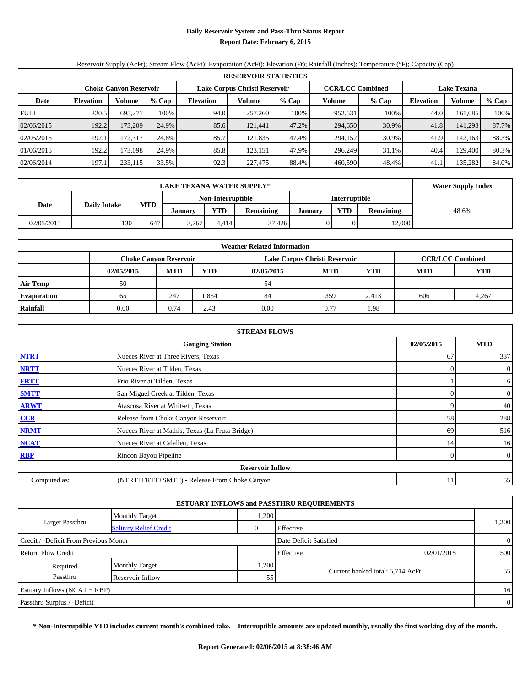#### **Daily Reservoir System and Pass-Thru Status Report Report Date: February 6, 2015**

# Reservoir Supply (AcFt); Stream Flow (AcFt); Evaporation (AcFt); Elevation (Ft); Rainfall (Inches); Temperature (°F); Capacity (Cap)

|             | <b>RESERVOIR STATISTICS</b> |                               |       |                  |                               |         |                         |       |                    |         |       |  |
|-------------|-----------------------------|-------------------------------|-------|------------------|-------------------------------|---------|-------------------------|-------|--------------------|---------|-------|--|
|             |                             | <b>Choke Canyon Reservoir</b> |       |                  | Lake Corpus Christi Reservoir |         | <b>CCR/LCC Combined</b> |       | <b>Lake Texana</b> |         |       |  |
| Date        | <b>Elevation</b>            | Volume                        | % Cap | <b>Elevation</b> | Volume                        | $%$ Cap | Volume                  | % Cap | Elevation          | Volume  | % Cap |  |
| <b>FULL</b> | 220.5                       | 695.271                       | 100%  | 94.0             | 257,260                       | 100%    | 952,531                 | 100%  | 44.0               | 161,085 | 100%  |  |
| 02/06/2015  | 192.2                       | 173.209                       | 24.9% | 85.6             | 121.441                       | 47.2%   | 294,650                 | 30.9% | 41.8               | 141,293 | 87.7% |  |
| 02/05/2015  | 192.1                       | 172.317                       | 24.8% | 85.7             | 121.835                       | 47.4%   | 294,152                 | 30.9% | 41.9               | 142,163 | 88.3% |  |
| 01/06/2015  | 192.2                       | 173.098                       | 24.9% | 85.8             | 123.151                       | 47.9%   | 296.249                 | 31.1% | 40.4               | 129.400 | 80.3% |  |
| 02/06/2014  | 197.1                       | 233,115                       | 33.5% | 92.3             | 227,475                       | 88.4%   | 460,590                 | 48.4% | 41.1               | 135,282 | 84.0% |  |

|            | <b>LAKE TEXANA WATER SUPPLY*</b> |            |         |                   |                  |         |                      |                  |       |  |
|------------|----------------------------------|------------|---------|-------------------|------------------|---------|----------------------|------------------|-------|--|
|            |                                  |            |         | Non-Interruptible |                  |         | <b>Interruptible</b> |                  |       |  |
| Date       | <b>Daily Intake</b>              | <b>MTD</b> | Januarv | YTD               | <b>Remaining</b> | January | <b>YTD</b>           | <b>Remaining</b> | 48.6% |  |
| 02/05/2015 | 130                              | 647        | 3,767   | 4.414             | 37.426           |         |                      | 12,000           |       |  |

| <b>Weather Related Information</b> |            |                                                                                           |            |            |            |            |     |       |  |  |  |  |
|------------------------------------|------------|-------------------------------------------------------------------------------------------|------------|------------|------------|------------|-----|-------|--|--|--|--|
|                                    |            | Lake Corpus Christi Reservoir<br><b>CCR/LCC Combined</b><br><b>Choke Canyon Reservoir</b> |            |            |            |            |     |       |  |  |  |  |
|                                    | 02/05/2015 | <b>MTD</b>                                                                                | <b>YTD</b> | 02/05/2015 | <b>MTD</b> | <b>YTD</b> |     |       |  |  |  |  |
| <b>Air Temp</b>                    | 50         |                                                                                           |            | 54         |            |            |     |       |  |  |  |  |
| <b>Evaporation</b>                 | 65         | 247                                                                                       | .354       | 84         | 359        | 2,413      | 606 | 4,267 |  |  |  |  |
| <b>Rainfall</b>                    | 0.00       | 0.74                                                                                      | 2.43       | 0.00       | 0.77       | 1.98       |     |       |  |  |  |  |

|              | <b>STREAM FLOWS</b>                             |            |                  |
|--------------|-------------------------------------------------|------------|------------------|
|              | 02/05/2015                                      | <b>MTD</b> |                  |
| <b>NTRT</b>  | Nueces River at Three Rivers, Texas             | 67         | 337              |
| <b>NRTT</b>  | Nueces River at Tilden, Texas                   | $\Omega$   | $\boldsymbol{0}$ |
| <b>FRTT</b>  | Frio River at Tilden, Texas                     |            | 6                |
| <b>SMTT</b>  | San Miguel Creek at Tilden, Texas               | 0          | $\overline{0}$   |
| <b>ARWT</b>  | Atascosa River at Whitsett, Texas               |            | 40               |
| CCR          | Release from Choke Canyon Reservoir             | 58         | 288              |
| <b>NRMT</b>  | Nueces River at Mathis, Texas (La Fruta Bridge) | 69         | 516              |
| <b>NCAT</b>  | Nueces River at Calallen, Texas                 | 14         | 16               |
| RBP          | Rincon Bayou Pipeline                           | $\Omega$   | $\boldsymbol{0}$ |
|              | <b>Reservoir Inflow</b>                         |            |                  |
| Computed as: | (NTRT+FRTT+SMTT) - Release From Choke Canyon    | 11         | 55               |

|                                       |                               |       | <b>ESTUARY INFLOWS and PASSTHRU REQUIREMENTS</b> |            |                |
|---------------------------------------|-------------------------------|-------|--------------------------------------------------|------------|----------------|
|                                       | <b>Monthly Target</b>         | .200  |                                                  |            |                |
| <b>Target Passthru</b>                | <b>Salinity Relief Credit</b> |       | Effective                                        |            | 1,200          |
| Credit / -Deficit From Previous Month |                               |       | Date Deficit Satisfied                           |            | $\overline{0}$ |
| <b>Return Flow Credit</b>             |                               |       | Effective                                        | 02/01/2015 | 500            |
| Required                              | <b>Monthly Target</b>         | 1,200 |                                                  |            |                |
| Passthru                              | Reservoir Inflow              | 55    | Current banked total: 5,714 AcFt                 |            | 55             |
| Estuary Inflows $(NCAT + RBP)$        |                               |       |                                                  |            | 16             |
| Passthru Surplus / -Deficit           |                               |       |                                                  |            | $\overline{0}$ |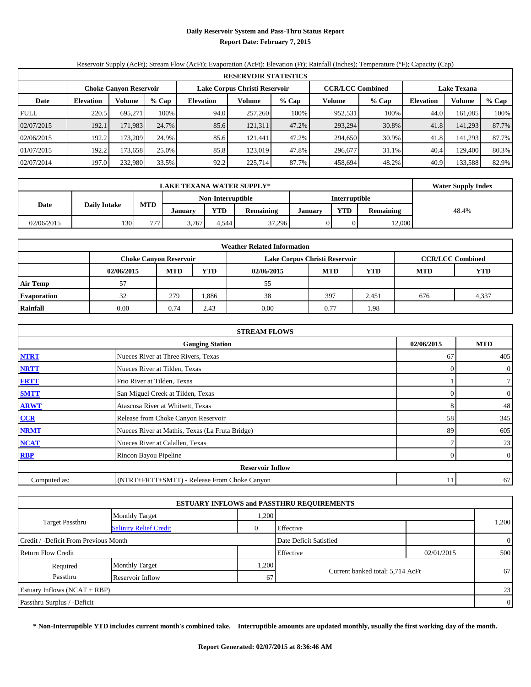#### **Daily Reservoir System and Pass-Thru Status Report Report Date: February 7, 2015**

# Reservoir Supply (AcFt); Stream Flow (AcFt); Evaporation (AcFt); Elevation (Ft); Rainfall (Inches); Temperature (°F); Capacity (Cap)

|             | <b>RESERVOIR STATISTICS</b> |                               |       |                  |                               |         |         |                         |                    |         |       |  |
|-------------|-----------------------------|-------------------------------|-------|------------------|-------------------------------|---------|---------|-------------------------|--------------------|---------|-------|--|
|             |                             | <b>Choke Canyon Reservoir</b> |       |                  | Lake Corpus Christi Reservoir |         |         | <b>CCR/LCC Combined</b> | <b>Lake Texana</b> |         |       |  |
| Date        | <b>Elevation</b>            | Volume                        | % Cap | <b>Elevation</b> | Volume                        | $%$ Cap | Volume  | $%$ Cap                 | Elevation          | Volume  | % Cap |  |
| <b>FULL</b> | 220.5                       | 695.271                       | 100%  | 94.0             | 257,260                       | 100%    | 952,531 | 100%                    | 44.0               | 161,085 | 100%  |  |
| 02/07/2015  | 192.1                       | 171,983                       | 24.7% | 85.6             | 121,311                       | 47.2%   | 293,294 | 30.8%                   | 41.8               | 141,293 | 87.7% |  |
| 02/06/2015  | 192.2                       | 173.209                       | 24.9% | 85.6             | 121.441                       | 47.2%   | 294,650 | 30.9%                   | 41.8               | 141.293 | 87.7% |  |
| 01/07/2015  | 192.2                       | 173.658                       | 25.0% | 85.8             | 123,019                       | 47.8%   | 296,677 | 31.1%                   | 40.4               | 129,400 | 80.3% |  |
| 02/07/2014  | 197.0                       | 232,980                       | 33.5% | 92.2             | 225,714                       | 87.7%   | 458.694 | 48.2%                   | 40.9               | 133,588 | 82.9% |  |

|            | <b>LAKE TEXANA WATER SUPPLY*</b> |                |                   |       |                  |                |                      |                  |       |  |
|------------|----------------------------------|----------------|-------------------|-------|------------------|----------------|----------------------|------------------|-------|--|
|            |                                  |                | Non-Interruptible |       |                  |                | <b>Interruptible</b> |                  |       |  |
| Date       | <b>Daily Intake</b>              | <b>MTD</b>     | <b>January</b>    | YTD   | <b>Remaining</b> | <b>January</b> | <b>YTD</b>           | <b>Remaining</b> | 48.4% |  |
| 02/06/2015 | 130                              | $\overline{a}$ | 3,767             | 4.544 | 37.296           |                |                      | 12.000           |       |  |

|                    | <b>Weather Related Information</b> |                                                                                           |            |            |      |       |     |       |  |  |  |  |
|--------------------|------------------------------------|-------------------------------------------------------------------------------------------|------------|------------|------|-------|-----|-------|--|--|--|--|
|                    |                                    | <b>CCR/LCC Combined</b><br>Lake Corpus Christi Reservoir<br><b>Choke Canyon Reservoir</b> |            |            |      |       |     |       |  |  |  |  |
|                    | 02/06/2015                         | <b>MTD</b>                                                                                | <b>MTD</b> | <b>YTD</b> |      |       |     |       |  |  |  |  |
| <b>Air Temp</b>    |                                    |                                                                                           |            | 55         |      |       |     |       |  |  |  |  |
| <b>Evaporation</b> | 32                                 | 279                                                                                       | .886       | 38         | 397  | 2,451 | 676 | 4,337 |  |  |  |  |
| Rainfall           | 0.00                               | 0.74                                                                                      | 2.43       | 0.00       | 0.77 | 1.98  |     |       |  |  |  |  |

|              | <b>STREAM FLOWS</b>                             |            |                  |
|--------------|-------------------------------------------------|------------|------------------|
|              | 02/06/2015                                      | <b>MTD</b> |                  |
| <b>NTRT</b>  | Nueces River at Three Rivers, Texas             | 67         | 405              |
| <b>NRTT</b>  | Nueces River at Tilden, Texas                   | $\Omega$   | $\boldsymbol{0}$ |
| <b>FRTT</b>  | Frio River at Tilden, Texas                     |            | 7 <sup>1</sup>   |
| <b>SMTT</b>  | San Miguel Creek at Tilden, Texas               | 0          | $\overline{0}$   |
| <b>ARWT</b>  | Atascosa River at Whitsett, Texas               | 8          | 48               |
| CCR          | Release from Choke Canyon Reservoir             | 58         | 345              |
| <b>NRMT</b>  | Nueces River at Mathis, Texas (La Fruta Bridge) | 89         | 605              |
| <b>NCAT</b>  | Nueces River at Calallen, Texas                 |            | 23               |
| RBP          | Rincon Bayou Pipeline                           | $\Omega$   | $\mathbf{0}$     |
|              | <b>Reservoir Inflow</b>                         |            |                  |
| Computed as: | (NTRT+FRTT+SMTT) - Release From Choke Canyon    | 11         | 67               |

|                                                         |                       |      | <b>ESTUARY INFLOWS and PASSTHRU REQUIREMENTS</b> |            |                |
|---------------------------------------------------------|-----------------------|------|--------------------------------------------------|------------|----------------|
|                                                         | <b>Monthly Target</b> | .200 |                                                  |            |                |
| <b>Target Passthru</b><br><b>Salinity Relief Credit</b> |                       |      | Effective                                        |            | 1,200          |
| Credit / -Deficit From Previous Month                   |                       |      | Date Deficit Satisfied                           |            | $\overline{0}$ |
| <b>Return Flow Credit</b>                               |                       |      | Effective                                        | 02/01/2015 | 500            |
| Required                                                | <b>Monthly Target</b> | .200 |                                                  |            |                |
| Passthru                                                | Reservoir Inflow      | 67   | Current banked total: 5,714 AcFt                 |            | 67             |
| Estuary Inflows $(NCAT + RBP)$                          |                       |      |                                                  |            | 23             |
| Passthru Surplus / -Deficit                             |                       |      |                                                  |            | $\overline{0}$ |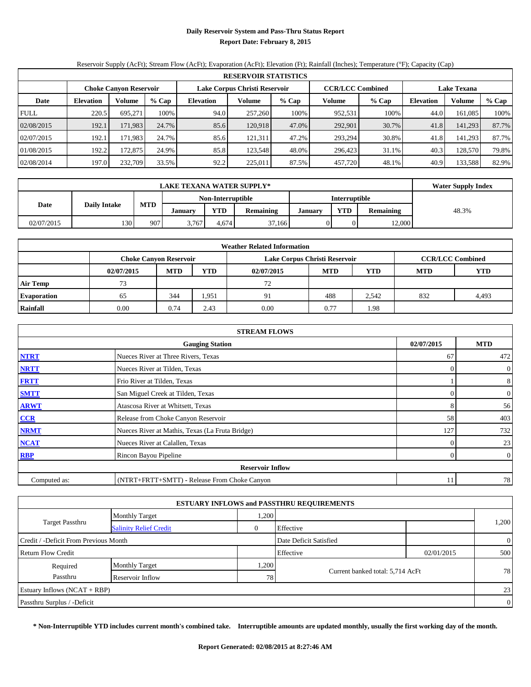#### **Daily Reservoir System and Pass-Thru Status Report Report Date: February 8, 2015**

# Reservoir Supply (AcFt); Stream Flow (AcFt); Evaporation (AcFt); Elevation (Ft); Rainfall (Inches); Temperature (°F); Capacity (Cap)

|             | <b>RESERVOIR STATISTICS</b>   |          |       |                               |         |         |                         |                    |                  |         |       |  |
|-------------|-------------------------------|----------|-------|-------------------------------|---------|---------|-------------------------|--------------------|------------------|---------|-------|--|
|             | <b>Choke Canyon Reservoir</b> |          |       | Lake Corpus Christi Reservoir |         |         | <b>CCR/LCC Combined</b> | <b>Lake Texana</b> |                  |         |       |  |
| Date        | <b>Elevation</b>              | Volume   | % Cap | <b>Elevation</b>              | Volume  | $%$ Cap | Volume                  | % Cap              | <b>Elevation</b> | Volume  | % Cap |  |
| <b>FULL</b> | 220.5                         | 695.271  | 100%  | 94.0                          | 257,260 | 100%    | 952,531                 | 100%               | 44.0             | 161,085 | 100%  |  |
| 02/08/2015  | 192.1                         | 171,983  | 24.7% | 85.6                          | 120.918 | 47.0%   | 292,901                 | 30.7%              | 41.8             | 141,293 | 87.7% |  |
| 02/07/2015  | 192.1                         | 171.9831 | 24.7% | 85.6                          | 121.311 | 47.2%   | 293.294                 | 30.8%              | 41.8             | 141.293 | 87.7% |  |
| 01/08/2015  | 192.2                         | 172,875  | 24.9% | 85.8                          | 123.548 | 48.0%   | 296,423                 | 31.1%              | 40.3             | 128,570 | 79.8% |  |
| 02/08/2014  | 197.0                         | 232,709  | 33.5% | 92.2                          | 225,011 | 87.5%   | 457,720                 | 48.1%              | 40.9             | 133,588 | 82.9% |  |

|            | <b>LAKE TEXANA WATER SUPPLY*</b> |            |         |                   |                  |         |               |                  |       |  |  |  |
|------------|----------------------------------|------------|---------|-------------------|------------------|---------|---------------|------------------|-------|--|--|--|
|            |                                  |            |         | Non-Interruptible |                  |         | Interruptible |                  |       |  |  |  |
| Date       | <b>Daily Intake</b>              | <b>MTD</b> | Januarv | <b>YTD</b>        | <b>Remaining</b> | January | <b>YTD</b>    | <b>Remaining</b> | 48.3% |  |  |  |
| 02/07/2015 | 130                              | 907        | 3,767   | 4.674             | 37.166           |         |               | 12,000           |       |  |  |  |

|                    |                                                                                           |            |            | <b>Weather Related Information</b> |            |       |            |            |  |  |  |
|--------------------|-------------------------------------------------------------------------------------------|------------|------------|------------------------------------|------------|-------|------------|------------|--|--|--|
|                    | <b>CCR/LCC Combined</b><br>Lake Corpus Christi Reservoir<br><b>Choke Canyon Reservoir</b> |            |            |                                    |            |       |            |            |  |  |  |
|                    | 02/07/2015                                                                                | <b>MTD</b> | <b>YTD</b> | 02/07/2015                         | <b>MTD</b> | YTD   | <b>MTD</b> | <b>YTD</b> |  |  |  |
| <b>Air Temp</b>    | 73                                                                                        |            |            | 72                                 |            |       |            |            |  |  |  |
| <b>Evaporation</b> | 65                                                                                        | 344        | 1.951      | 91                                 | 488        | 2,542 | 832        | 4,493      |  |  |  |
| Rainfall           | 0.00                                                                                      | 0.74       | 2.43       | 0.00                               | 0.77       | 1.98  |            |            |  |  |  |

|              | <b>STREAM FLOWS</b>                             |            |                |
|--------------|-------------------------------------------------|------------|----------------|
|              | <b>Gauging Station</b>                          | 02/07/2015 | <b>MTD</b>     |
| <b>NTRT</b>  | Nueces River at Three Rivers, Texas             | 67         | 472            |
| <b>NRTT</b>  | Nueces River at Tilden, Texas                   | $\theta$   | $\overline{0}$ |
| <b>FRTT</b>  | Frio River at Tilden, Texas                     |            | 8              |
| <b>SMTT</b>  | San Miguel Creek at Tilden, Texas               | $\Omega$   | $\overline{0}$ |
| <b>ARWT</b>  | Atascosa River at Whitsett, Texas               | 8          | 56             |
| CCR          | Release from Choke Canyon Reservoir             | 58         | 403            |
| <b>NRMT</b>  | Nueces River at Mathis, Texas (La Fruta Bridge) | 127        | 732            |
| <b>NCAT</b>  | Nueces River at Calallen, Texas                 | $\theta$   | 23             |
| RBP          | Rincon Bayou Pipeline                           | $\Omega$   | $\overline{0}$ |
|              | <b>Reservoir Inflow</b>                         |            |                |
| Computed as: | (NTRT+FRTT+SMTT) - Release From Choke Canyon    | 11         | 78             |

|                                       |                               |                | <b>ESTUARY INFLOWS and PASSTHRU REQUIREMENTS</b> |            |                |
|---------------------------------------|-------------------------------|----------------|--------------------------------------------------|------------|----------------|
|                                       | <b>Monthly Target</b>         | .200           |                                                  |            |                |
| <b>Target Passthru</b>                | <b>Salinity Relief Credit</b> | $\overline{0}$ | Effective                                        |            | 1,200          |
| Credit / -Deficit From Previous Month |                               |                | Date Deficit Satisfied                           |            | $\overline{0}$ |
| <b>Return Flow Credit</b>             |                               |                | Effective                                        | 02/01/2015 | 500            |
| Required                              | <b>Monthly Target</b>         | .200           |                                                  |            |                |
| Passthru                              | Reservoir Inflow              | 78             | Current banked total: 5,714 AcFt                 |            | 78             |
| Estuary Inflows $(NCAT + RBP)$        |                               |                |                                                  |            | 23             |
| Passthru Surplus / -Deficit           |                               |                |                                                  |            | $\overline{0}$ |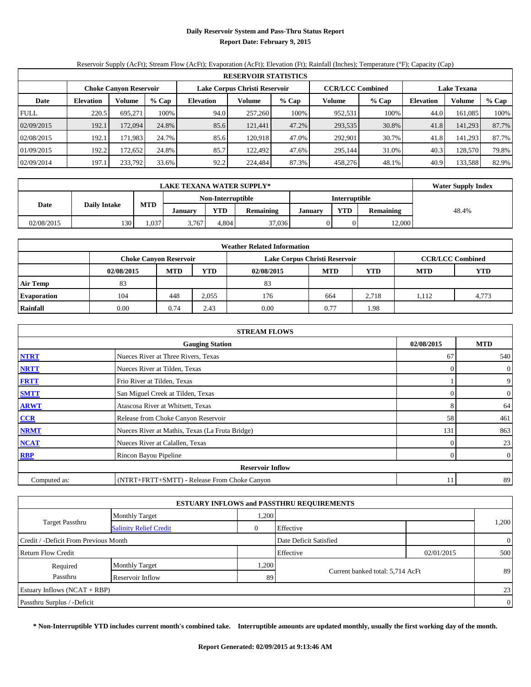# **Daily Reservoir System and Pass-Thru Status Report Report Date: February 9, 2015**

# Reservoir Supply (AcFt); Stream Flow (AcFt); Evaporation (AcFt); Elevation (Ft); Rainfall (Inches); Temperature (°F); Capacity (Cap)

|             | <b>RESERVOIR STATISTICS</b> |                               |         |                  |                               |                                               |         |         |                  |               |       |  |  |  |  |
|-------------|-----------------------------|-------------------------------|---------|------------------|-------------------------------|-----------------------------------------------|---------|---------|------------------|---------------|-------|--|--|--|--|
|             |                             | <b>Choke Canyon Reservoir</b> |         |                  | Lake Corpus Christi Reservoir | <b>CCR/LCC Combined</b><br><b>Lake Texana</b> |         |         |                  |               |       |  |  |  |  |
| Date        | <b>Elevation</b>            | Volume                        | $%$ Cap | <b>Elevation</b> | Volume                        | % Cap                                         | Volume  | $%$ Cap | <b>Elevation</b> | <b>Volume</b> | % Cap |  |  |  |  |
| <b>FULL</b> | 220.5                       | 695.271                       | 100%    | 94.0             | 257,260                       | 100%                                          | 952,531 | 100%    | 44.0             | 161.085       | 100%  |  |  |  |  |
| 02/09/2015  | 192.1                       | 172,094                       | 24.8%   | 85.6             | 121,441                       | 47.2%                                         | 293,535 | 30.8%   | 41.8             | 141,293       | 87.7% |  |  |  |  |
| 02/08/2015  | 192.1                       | 171.983                       | 24.7%   | 85.6             | 120.918                       | 47.0%                                         | 292.901 | 30.7%   | 41.8             | 141,293       | 87.7% |  |  |  |  |
| 01/09/2015  | 192.2                       | 172.6521                      | 24.8%   | 85.7             | 122.492                       | 47.6%                                         | 295,144 | 31.0%   | 40.3             | 128,570       | 79.8% |  |  |  |  |
| 02/09/2014  | 197.1                       | 233,792                       | 33.6%   | 92.2             | 224,484                       | 87.3%                                         | 458,276 | 48.1%   | 40.9             | 133,588       | 82.9% |  |  |  |  |

|            | <b>LAKE TEXANA WATER SUPPLY*</b> |            |                |                   |                  |         |               |                  |       |  |  |  |
|------------|----------------------------------|------------|----------------|-------------------|------------------|---------|---------------|------------------|-------|--|--|--|
|            |                                  |            |                | Non-Interruptible |                  |         | Interruptible |                  |       |  |  |  |
| Date       | <b>Daily Intake</b>              | <b>MTD</b> | <b>January</b> | <b>YTD</b>        | <b>Remaining</b> | January | <b>YTD</b>    | <b>Remaining</b> | 48.4% |  |  |  |
| 02/08/2015 | 130                              | .037       | 3,767          | 4.804             | 37,036           |         |               | 12,000           |       |  |  |  |

| <b>Weather Related Information</b> |                               |            |            |                               |            |                         |            |            |  |  |  |  |
|------------------------------------|-------------------------------|------------|------------|-------------------------------|------------|-------------------------|------------|------------|--|--|--|--|
|                                    | <b>Choke Canyon Reservoir</b> |            |            | Lake Corpus Christi Reservoir |            | <b>CCR/LCC Combined</b> |            |            |  |  |  |  |
|                                    | 02/08/2015                    | <b>MTD</b> | <b>YTD</b> | 02/08/2015                    | <b>MTD</b> | <b>YTD</b>              | <b>MTD</b> | <b>YTD</b> |  |  |  |  |
| <b>Air Temp</b>                    | 83                            |            |            | 83                            |            |                         |            |            |  |  |  |  |
| <b>Evaporation</b>                 | 104                           | 448        | 2,055      | 176                           | 664        | 2,718                   | 1.112      | 4,773      |  |  |  |  |
| Rainfall                           | 0.00                          | 0.74       | 2.43       | 0.00                          | 0.77       | 1.98                    |            |            |  |  |  |  |

|              | <b>STREAM FLOWS</b>                             |            |                  |
|--------------|-------------------------------------------------|------------|------------------|
|              | <b>Gauging Station</b>                          | 02/08/2015 | <b>MTD</b>       |
| <b>NTRT</b>  | Nueces River at Three Rivers, Texas             | 67         | 540              |
| <b>NRTT</b>  | Nueces River at Tilden, Texas                   | $\Omega$   | $\boldsymbol{0}$ |
| <b>FRTT</b>  | Frio River at Tilden, Texas                     |            | 9                |
| <b>SMTT</b>  | San Miguel Creek at Tilden, Texas               | 0          | $\overline{0}$   |
| <b>ARWT</b>  | Atascosa River at Whitsett, Texas               |            | 64               |
| CCR          | Release from Choke Canyon Reservoir             | 58         | 461              |
| <b>NRMT</b>  | Nueces River at Mathis, Texas (La Fruta Bridge) | 131        | 863              |
| <b>NCAT</b>  | Nueces River at Calallen, Texas                 | 0          | 23               |
| RBP          | Rincon Bayou Pipeline                           | $\Omega$   | $\boldsymbol{0}$ |
|              | <b>Reservoir Inflow</b>                         |            |                  |
| Computed as: | (NTRT+FRTT+SMTT) - Release From Choke Canyon    | 11         | 89               |

|                                       |                               |              | <b>ESTUARY INFLOWS and PASSTHRU REQUIREMENTS</b> |            |                |
|---------------------------------------|-------------------------------|--------------|--------------------------------------------------|------------|----------------|
|                                       | <b>Monthly Target</b>         | .200         |                                                  |            |                |
| <b>Target Passthru</b>                | <b>Salinity Relief Credit</b> | $\mathbf{0}$ | Effective                                        |            | 1,200          |
| Credit / -Deficit From Previous Month |                               |              | Date Deficit Satisfied                           |            | $\overline{0}$ |
| <b>Return Flow Credit</b>             |                               |              | Effective                                        | 02/01/2015 | 500            |
| Required                              | <b>Monthly Target</b>         | .200         |                                                  |            |                |
| Passthru                              | Reservoir Inflow              | 89           | Current banked total: 5,714 AcFt                 |            | 89             |
| Estuary Inflows $(NCAT + RBP)$        |                               |              |                                                  |            | 23             |
| Passthru Surplus / -Deficit           |                               |              |                                                  |            | $\overline{0}$ |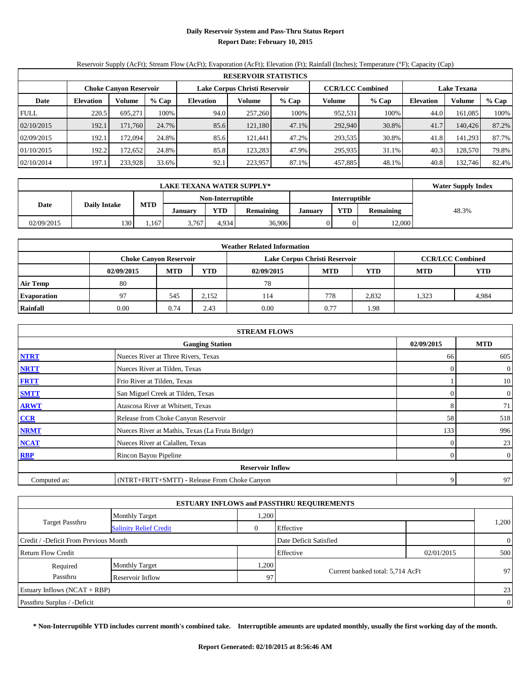# **Daily Reservoir System and Pass-Thru Status Report Report Date: February 10, 2015**

# Reservoir Supply (AcFt); Stream Flow (AcFt); Evaporation (AcFt); Elevation (Ft); Rainfall (Inches); Temperature (°F); Capacity (Cap)

|             | <b>RESERVOIR STATISTICS</b> |                               |       |                  |                               |       |                         |         |           |                    |       |  |  |  |  |
|-------------|-----------------------------|-------------------------------|-------|------------------|-------------------------------|-------|-------------------------|---------|-----------|--------------------|-------|--|--|--|--|
|             |                             | <b>Choke Canyon Reservoir</b> |       |                  | Lake Corpus Christi Reservoir |       | <b>CCR/LCC Combined</b> |         |           | <b>Lake Texana</b> |       |  |  |  |  |
| Date        | <b>Elevation</b>            | Volume                        | % Cap | <b>Elevation</b> | Volume                        | % Cap | Volume                  | $%$ Cap | Elevation | <b>Volume</b>      | % Cap |  |  |  |  |
| <b>FULL</b> | 220.5                       | 695.271                       | 100%  | 94.0             | 257,260                       | 100%  | 952,531                 | 100%    | 44.0      | 161.085            | 100%  |  |  |  |  |
| 02/10/2015  | 192.1                       | 171.760                       | 24.7% | 85.6             | 121.180                       | 47.1% | 292,940                 | 30.8%   | 41.7      | 140,426            | 87.2% |  |  |  |  |
| 02/09/2015  | 192.1                       | 172.094                       | 24.8% | 85.6             | 121.441                       | 47.2% | 293,535                 | 30.8%   | 41.8      | 141,293            | 87.7% |  |  |  |  |
| 01/10/2015  | 192.2                       | 172.652                       | 24.8% | 85.8             | 123.283                       | 47.9% | 295,935                 | 31.1%   | 40.3      | 128,570            | 79.8% |  |  |  |  |
| 02/10/2014  | 197.1                       | 233,928                       | 33.6% | 92.1             | 223,957                       | 87.1% | 457,885                 | 48.1%   | 40.8      | 132,746            | 82.4% |  |  |  |  |

|            | <b>LAKE TEXANA WATER SUPPLY*</b> |            |                |                   |                  |         |               |                  |       |  |  |  |
|------------|----------------------------------|------------|----------------|-------------------|------------------|---------|---------------|------------------|-------|--|--|--|
|            | <b>Daily Intake</b>              |            |                | Non-Interruptible |                  |         | Interruptible |                  |       |  |  |  |
| Date       |                                  | <b>MTD</b> | <b>January</b> | <b>YTD</b>        | <b>Remaining</b> | January | <b>YTD</b>    | <b>Remaining</b> | 48.3% |  |  |  |
| 02/09/2015 | 130                              | .167       | 3.767          | 4.934             | 36,906           |         |               | 12,000           |       |  |  |  |

| <b>Weather Related Information</b> |            |                                                                                           |            |            |            |       |            |            |  |  |  |  |
|------------------------------------|------------|-------------------------------------------------------------------------------------------|------------|------------|------------|-------|------------|------------|--|--|--|--|
|                                    |            | <b>CCR/LCC Combined</b><br>Lake Corpus Christi Reservoir<br><b>Choke Canvon Reservoir</b> |            |            |            |       |            |            |  |  |  |  |
|                                    | 02/09/2015 | <b>MTD</b>                                                                                | <b>YTD</b> | 02/09/2015 | <b>MTD</b> | YTD   | <b>MTD</b> | <b>YTD</b> |  |  |  |  |
| <b>Air Temp</b>                    | 80         |                                                                                           |            | 78         |            |       |            |            |  |  |  |  |
| <b>Evaporation</b>                 | 97         | 545                                                                                       | 2.152      | 114        | 778        | 2,832 | 1.323      | 4,984      |  |  |  |  |
| Rainfall                           | 0.00       | 0.74                                                                                      | 2.43       | 0.00       | 0.77       | 1.98  |            |            |  |  |  |  |

| <b>STREAM FLOWS</b> |                                                 |          |                  |  |  |  |  |  |  |  |
|---------------------|-------------------------------------------------|----------|------------------|--|--|--|--|--|--|--|
|                     | <b>Gauging Station</b>                          |          |                  |  |  |  |  |  |  |  |
| <b>NTRT</b>         | Nueces River at Three Rivers, Texas             | 66       | 605              |  |  |  |  |  |  |  |
| <b>NRTT</b>         | Nueces River at Tilden, Texas                   | $\Omega$ | $\boldsymbol{0}$ |  |  |  |  |  |  |  |
| <b>FRTT</b>         | Frio River at Tilden, Texas                     |          | 10               |  |  |  |  |  |  |  |
| <b>SMTT</b>         | San Miguel Creek at Tilden, Texas               | 0        | $\overline{0}$   |  |  |  |  |  |  |  |
| <b>ARWT</b>         | Atascosa River at Whitsett, Texas               |          | 71               |  |  |  |  |  |  |  |
| CCR                 | Release from Choke Canyon Reservoir             | 58       | 518              |  |  |  |  |  |  |  |
| <b>NRMT</b>         | Nueces River at Mathis, Texas (La Fruta Bridge) | 133      | 996              |  |  |  |  |  |  |  |
| <b>NCAT</b>         | Nueces River at Calallen, Texas                 | 0        | 23               |  |  |  |  |  |  |  |
| RBP                 | Rincon Bayou Pipeline                           | $\Omega$ | $\boldsymbol{0}$ |  |  |  |  |  |  |  |
|                     | <b>Reservoir Inflow</b>                         |          |                  |  |  |  |  |  |  |  |
| Computed as:        | (NTRT+FRTT+SMTT) - Release From Choke Canyon    | 9        | 97               |  |  |  |  |  |  |  |

|                                       |                               |       | <b>ESTUARY INFLOWS and PASSTHRU REQUIREMENTS</b> |            |                |  |
|---------------------------------------|-------------------------------|-------|--------------------------------------------------|------------|----------------|--|
|                                       | <b>Monthly Target</b>         | .200  |                                                  |            |                |  |
| <b>Target Passthru</b>                | <b>Salinity Relief Credit</b> |       | Effective                                        |            | 1,200          |  |
| Credit / -Deficit From Previous Month |                               |       | Date Deficit Satisfied                           |            | $\overline{0}$ |  |
| <b>Return Flow Credit</b>             |                               |       | Effective                                        | 02/01/2015 | 500            |  |
| Required                              | <b>Monthly Target</b>         | 1,200 |                                                  |            |                |  |
| Passthru                              | Reservoir Inflow              | 97    | Current banked total: 5,714 AcFt                 |            | 97             |  |
| Estuary Inflows $(NCAT + RBP)$        |                               |       |                                                  |            | 23             |  |
| Passthru Surplus / -Deficit           |                               |       |                                                  |            | $\overline{0}$ |  |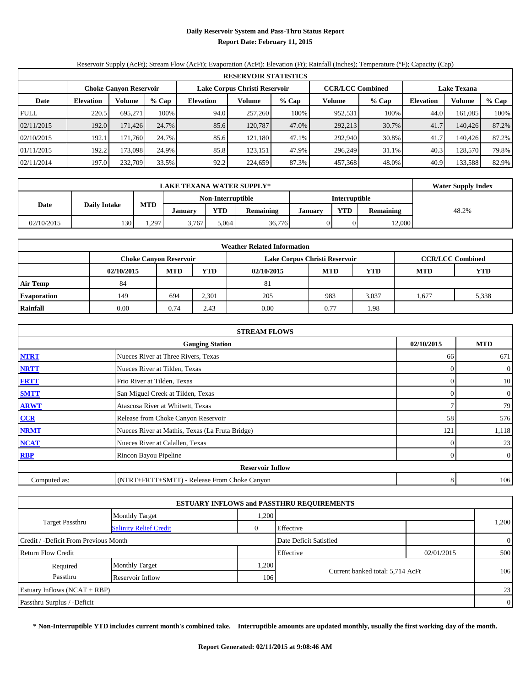# **Daily Reservoir System and Pass-Thru Status Report Report Date: February 11, 2015**

# Reservoir Supply (AcFt); Stream Flow (AcFt); Evaporation (AcFt); Elevation (Ft); Rainfall (Inches); Temperature (°F); Capacity (Cap)

|             | <b>RESERVOIR STATISTICS</b>   |          |       |                               |         |       |                         |         |                    |               |       |  |  |
|-------------|-------------------------------|----------|-------|-------------------------------|---------|-------|-------------------------|---------|--------------------|---------------|-------|--|--|
|             | <b>Choke Canyon Reservoir</b> |          |       | Lake Corpus Christi Reservoir |         |       | <b>CCR/LCC Combined</b> |         | <b>Lake Texana</b> |               |       |  |  |
| Date        | <b>Elevation</b>              | Volume   | % Cap | <b>Elevation</b>              | Volume  | % Cap | Volume                  | $%$ Cap | Elevation          | <b>Volume</b> | % Cap |  |  |
| <b>FULL</b> | 220.5                         | 695.271  | 100%  | 94.0                          | 257,260 | 100%  | 952,531                 | 100%    | 44.0               | 161.085       | 100%  |  |  |
| 02/11/2015  | 192.0                         | 171,426  | 24.7% | 85.6                          | 120.787 | 47.0% | 292,213                 | 30.7%   | 41.7               | 140,426       | 87.2% |  |  |
| 02/10/2015  | 192.1                         | 171.760  | 24.7% | 85.6                          | 121.180 | 47.1% | 292,940                 | 30.8%   | 41.7               | 140.426       | 87.2% |  |  |
| 01/11/2015  | 192.2                         | 173.0981 | 24.9% | 85.8                          | 123,151 | 47.9% | 296,249                 | 31.1%   | 40.3               | 128,570       | 79.8% |  |  |
| 02/11/2014  | 197.0                         | 232,709  | 33.5% | 92.2                          | 224,659 | 87.3% | 457,368                 | 48.0%   | 40.9               | 133,588       | 82.9% |  |  |

|            | <b>Water Supply Index</b> |            |                   |            |                  |               |            |           |       |  |  |
|------------|---------------------------|------------|-------------------|------------|------------------|---------------|------------|-----------|-------|--|--|
|            |                           |            | Non-Interruptible |            |                  | Interruptible |            |           |       |  |  |
| Date       | <b>Daily Intake</b>       | <b>MTD</b> | <b>January</b>    | <b>YTD</b> | <b>Remaining</b> | January       | <b>YTD</b> | Remaining | 48.2% |  |  |
| 02/10/2015 | 130                       | .,297      | 3,767             | 5.064      | 36,776           |               |            | 12,000    |       |  |  |

| <b>Weather Related Information</b> |                               |            |                                                                    |                               |      |                         |       |            |  |  |  |
|------------------------------------|-------------------------------|------------|--------------------------------------------------------------------|-------------------------------|------|-------------------------|-------|------------|--|--|--|
|                                    | <b>Choke Canyon Reservoir</b> |            |                                                                    | Lake Corpus Christi Reservoir |      | <b>CCR/LCC Combined</b> |       |            |  |  |  |
|                                    | 02/10/2015                    | <b>MTD</b> | <b>YTD</b><br><b>YTD</b><br><b>MTD</b><br><b>MTD</b><br>02/10/2015 |                               |      |                         |       | <b>YTD</b> |  |  |  |
| <b>Air Temp</b>                    | 84                            |            |                                                                    | 81                            |      |                         |       |            |  |  |  |
| <b>Evaporation</b>                 | 149                           | 694        | 2,301                                                              | 205                           | 983  | 3,037                   | 1.677 | 5,338      |  |  |  |
| Rainfall                           | 0.00                          | 0.74       | 2.43                                                               | 0.00                          | 0.77 | 1.98                    |       |            |  |  |  |

| <b>STREAM FLOWS</b> |                                                 |            |                  |  |  |  |  |  |  |  |
|---------------------|-------------------------------------------------|------------|------------------|--|--|--|--|--|--|--|
|                     | 02/10/2015                                      | <b>MTD</b> |                  |  |  |  |  |  |  |  |
| <b>NTRT</b>         | Nueces River at Three Rivers, Texas             | 66         | 671              |  |  |  |  |  |  |  |
| <b>NRTT</b>         | Nueces River at Tilden, Texas                   | 0          | $\boldsymbol{0}$ |  |  |  |  |  |  |  |
| <b>FRTT</b>         | Frio River at Tilden, Texas                     | 0          | 10               |  |  |  |  |  |  |  |
| <b>SMTT</b>         | San Miguel Creek at Tilden, Texas               | 0          | $\boldsymbol{0}$ |  |  |  |  |  |  |  |
| <b>ARWT</b>         | Atascosa River at Whitsett, Texas               |            | 79               |  |  |  |  |  |  |  |
| CCR                 | Release from Choke Canyon Reservoir             | 58         | 576              |  |  |  |  |  |  |  |
| <b>NRMT</b>         | Nueces River at Mathis, Texas (La Fruta Bridge) | 121        | 1,118            |  |  |  |  |  |  |  |
| <b>NCAT</b>         | Nueces River at Calallen, Texas                 | 0          | 23               |  |  |  |  |  |  |  |
| RBP                 | Rincon Bayou Pipeline                           | $\Omega$   | $\boldsymbol{0}$ |  |  |  |  |  |  |  |
|                     | <b>Reservoir Inflow</b>                         |            |                  |  |  |  |  |  |  |  |
| Computed as:        | 8                                               | 106        |                  |  |  |  |  |  |  |  |

| <b>ESTUARY INFLOWS and PASSTHRU REQUIREMENTS</b> |                               |                |                                  |            |                |  |  |  |  |  |
|--------------------------------------------------|-------------------------------|----------------|----------------------------------|------------|----------------|--|--|--|--|--|
|                                                  | <b>Monthly Target</b>         | .200           |                                  |            |                |  |  |  |  |  |
| <b>Target Passthru</b>                           | <b>Salinity Relief Credit</b> | $\overline{0}$ | Effective                        |            | 1,200          |  |  |  |  |  |
| Credit / -Deficit From Previous Month            |                               |                | Date Deficit Satisfied           |            | $\overline{0}$ |  |  |  |  |  |
| <b>Return Flow Credit</b>                        |                               |                | Effective                        | 02/01/2015 | 500            |  |  |  |  |  |
| Required                                         | <b>Monthly Target</b>         | .200           |                                  |            |                |  |  |  |  |  |
| Passthru                                         | Reservoir Inflow              | 106            | Current banked total: 5,714 AcFt |            | 106            |  |  |  |  |  |
| Estuary Inflows $(NCAT + RBP)$                   |                               |                |                                  |            | 23             |  |  |  |  |  |
| Passthru Surplus / -Deficit                      |                               |                |                                  |            | $\overline{0}$ |  |  |  |  |  |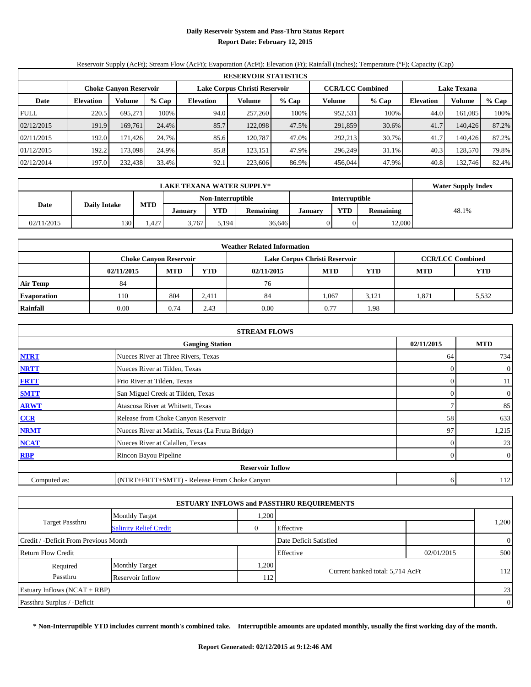# **Daily Reservoir System and Pass-Thru Status Report Report Date: February 12, 2015**

# Reservoir Supply (AcFt); Stream Flow (AcFt); Evaporation (AcFt); Elevation (Ft); Rainfall (Inches); Temperature (°F); Capacity (Cap)

|             | <b>RESERVOIR STATISTICS</b> |                               |       |                               |         |       |                         |       |                    |               |       |  |
|-------------|-----------------------------|-------------------------------|-------|-------------------------------|---------|-------|-------------------------|-------|--------------------|---------------|-------|--|
|             |                             | <b>Choke Canyon Reservoir</b> |       | Lake Corpus Christi Reservoir |         |       | <b>CCR/LCC Combined</b> |       | <b>Lake Texana</b> |               |       |  |
| Date        | <b>Elevation</b>            | Volume                        | % Cap | <b>Elevation</b>              | Volume  | % Cap | Volume                  | % Cap | Elevation          | <b>Volume</b> | % Cap |  |
| <b>FULL</b> | 220.5                       | 695.271                       | 100%  | 94.0                          | 257,260 | 100%  | 952,531                 | 100%  | 44.0               | 161.085       | 100%  |  |
| 02/12/2015  | 191.9                       | 169.761                       | 24.4% | 85.7                          | 122,098 | 47.5% | 291,859                 | 30.6% | 41.7               | 140,426       | 87.2% |  |
| 02/11/2015  | 192.0                       | 171.426                       | 24.7% | 85.6                          | 120.787 | 47.0% | 292.213                 | 30.7% | 41.7               | 140.426       | 87.2% |  |
| 01/12/2015  | 192.2                       | 173.0981                      | 24.9% | 85.8                          | 123.151 | 47.9% | 296.249                 | 31.1% | 40.3               | 128,570       | 79.8% |  |
| 02/12/2014  | 197.0                       | 232,438                       | 33.4% | 92.1                          | 223,606 | 86.9% | 456,044                 | 47.9% | 40.8               | 132,746       | 82.4% |  |

|            | <b>Water Supply Index</b> |            |                   |            |                  |               |            |           |       |
|------------|---------------------------|------------|-------------------|------------|------------------|---------------|------------|-----------|-------|
|            |                           |            | Non-Interruptible |            |                  | Interruptible |            |           |       |
| Date       | <b>Daily Intake</b>       | <b>MTD</b> | <b>January</b>    | <b>YTD</b> | <b>Remaining</b> | January       | <b>VTD</b> | Remaining | 48.1% |
| 02/11/2015 | 130                       | .427       | 3,767             | 5.194      | 36,646           |               |            | 12,000    |       |

| <b>Weather Related Information</b> |                               |            |            |                               |            |                         |            |            |  |  |  |
|------------------------------------|-------------------------------|------------|------------|-------------------------------|------------|-------------------------|------------|------------|--|--|--|
|                                    | <b>Choke Canyon Reservoir</b> |            |            | Lake Corpus Christi Reservoir |            | <b>CCR/LCC Combined</b> |            |            |  |  |  |
|                                    | 02/11/2015                    | <b>MTD</b> | <b>YTD</b> | 02/11/2015                    | <b>MTD</b> | <b>YTD</b>              | <b>MTD</b> | <b>YTD</b> |  |  |  |
| <b>Air Temp</b>                    | 84                            |            |            | 76                            |            |                         |            |            |  |  |  |
| <b>Evaporation</b>                 | 110                           | 804        | 2,411      | 84                            | 1,067      | 3,121                   | .871       | 5,532      |  |  |  |
| Rainfall                           | 0.00                          | 0.74       | 2.43       | 0.00                          | 0.77       | 1.98                    |            |            |  |  |  |

| <b>STREAM FLOWS</b> |                                                 |            |                  |  |  |  |  |  |  |  |
|---------------------|-------------------------------------------------|------------|------------------|--|--|--|--|--|--|--|
|                     | 02/11/2015                                      | <b>MTD</b> |                  |  |  |  |  |  |  |  |
| <b>NTRT</b>         | Nueces River at Three Rivers, Texas             | 64         | 734              |  |  |  |  |  |  |  |
| <b>NRTT</b>         | Nueces River at Tilden, Texas                   | 0          | $\boldsymbol{0}$ |  |  |  |  |  |  |  |
| <b>FRTT</b>         | Frio River at Tilden, Texas                     | 0          | 11               |  |  |  |  |  |  |  |
| <b>SMTT</b>         | San Miguel Creek at Tilden, Texas               | 0          | 0                |  |  |  |  |  |  |  |
| <b>ARWT</b>         | Atascosa River at Whitsett, Texas               |            | 85               |  |  |  |  |  |  |  |
| CCR                 | Release from Choke Canyon Reservoir             | 58         | 633              |  |  |  |  |  |  |  |
| <b>NRMT</b>         | Nueces River at Mathis, Texas (La Fruta Bridge) | 97         | 1,215            |  |  |  |  |  |  |  |
| <b>NCAT</b>         | Nueces River at Calallen, Texas                 | 0          | 23               |  |  |  |  |  |  |  |
| RBP                 | Rincon Bayou Pipeline                           | $\Omega$   | $\boldsymbol{0}$ |  |  |  |  |  |  |  |
|                     | <b>Reservoir Inflow</b>                         |            |                  |  |  |  |  |  |  |  |
| Computed as:        | 6                                               | 112        |                  |  |  |  |  |  |  |  |

| <b>ESTUARY INFLOWS and PASSTHRU REQUIREMENTS</b> |                               |                |                                  |            |                |  |  |  |  |  |
|--------------------------------------------------|-------------------------------|----------------|----------------------------------|------------|----------------|--|--|--|--|--|
|                                                  | <b>Monthly Target</b>         | .200           |                                  |            |                |  |  |  |  |  |
| <b>Target Passthru</b>                           | <b>Salinity Relief Credit</b> | $\overline{0}$ | Effective                        |            | 1,200          |  |  |  |  |  |
| Credit / -Deficit From Previous Month            |                               |                | Date Deficit Satisfied           |            | $\overline{0}$ |  |  |  |  |  |
| <b>Return Flow Credit</b>                        |                               |                | Effective                        | 02/01/2015 | 500            |  |  |  |  |  |
| Required                                         | <b>Monthly Target</b>         | .200           |                                  |            |                |  |  |  |  |  |
| Passthru                                         | Reservoir Inflow              | 112            | Current banked total: 5,714 AcFt |            | 112            |  |  |  |  |  |
| Estuary Inflows $(NCAT + RBP)$                   |                               |                |                                  |            | 23             |  |  |  |  |  |
| Passthru Surplus / -Deficit                      |                               |                |                                  |            | $\overline{0}$ |  |  |  |  |  |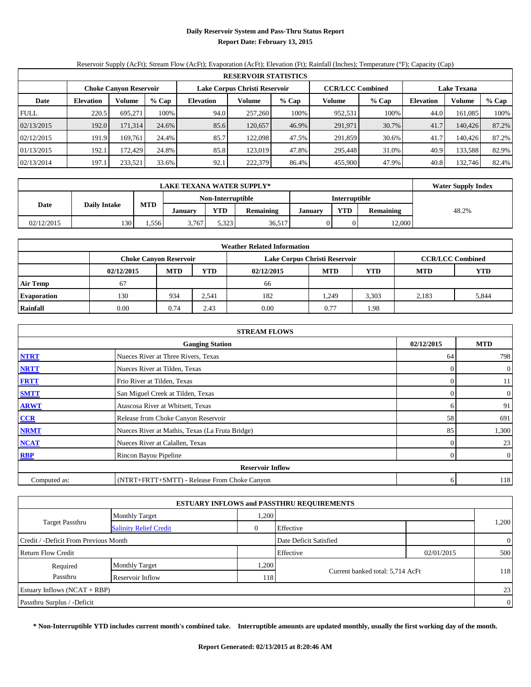# **Daily Reservoir System and Pass-Thru Status Report Report Date: February 13, 2015**

# Reservoir Supply (AcFt); Stream Flow (AcFt); Evaporation (AcFt); Elevation (Ft); Rainfall (Inches); Temperature (°F); Capacity (Cap)

|             | <b>RESERVOIR STATISTICS</b> |                               |       |                               |         |       |                         |       |                  |         |       |  |
|-------------|-----------------------------|-------------------------------|-------|-------------------------------|---------|-------|-------------------------|-------|------------------|---------|-------|--|
|             |                             | <b>Choke Canyon Reservoir</b> |       | Lake Corpus Christi Reservoir |         |       | <b>CCR/LCC Combined</b> |       | Lake Texana      |         |       |  |
| Date        | <b>Elevation</b>            | <b>Volume</b>                 | % Cap | <b>Elevation</b>              | Volume  | % Cap | Volume                  | % Cap | <b>Elevation</b> | Volume  | % Cap |  |
| <b>FULL</b> | 220.5                       | 695.271                       | 100%  | 94.0                          | 257,260 | 100%  | 952,531                 | 100%  | 44.0             | 161.085 | 100%  |  |
| 02/13/2015  | 192.0                       | 171.314                       | 24.6% | 85.6                          | 120.657 | 46.9% | 291.971                 | 30.7% | 41.7             | 140,426 | 87.2% |  |
| 02/12/2015  | 191.9                       | 169.761                       | 24.4% | 85.7                          | 122,098 | 47.5% | 291.859                 | 30.6% | 41.7             | 140.426 | 87.2% |  |
| 01/13/2015  | 192.1                       | 172.429                       | 24.8% | 85.8                          | 123,019 | 47.8% | 295.448                 | 31.0% | 40.9             | 133.588 | 82.9% |  |
| 02/13/2014  | 197.1                       | 233,521                       | 33.6% | 92.1                          | 222,379 | 86.4% | 455,900                 | 47.9% | 40.8             | 132,746 | 82.4% |  |

|                             | <b>LAKE TEXANA WATER SUPPLY*</b> |            |                |                   |                  |         |               |                  |       |  |  |
|-----------------------------|----------------------------------|------------|----------------|-------------------|------------------|---------|---------------|------------------|-------|--|--|
|                             |                                  |            |                | Non-Interruptible |                  |         | Interruptible |                  |       |  |  |
| Date<br><b>Daily Intake</b> |                                  | <b>MTD</b> | <b>January</b> | <b>YTD</b>        | <b>Remaining</b> | January | <b>VTD</b>    | <b>Remaining</b> | 48.2% |  |  |
| 02/12/2015                  | 130                              | .556       | 3.767          | 5.323             | 36,517           |         |               | 12,000           |       |  |  |

| <b>Weather Related Information</b> |                               |            |            |                               |                                        |       |                         |       |  |  |  |
|------------------------------------|-------------------------------|------------|------------|-------------------------------|----------------------------------------|-------|-------------------------|-------|--|--|--|
|                                    | <b>Choke Canyon Reservoir</b> |            |            | Lake Corpus Christi Reservoir |                                        |       | <b>CCR/LCC Combined</b> |       |  |  |  |
|                                    | 02/12/2015                    | <b>MTD</b> | <b>YTD</b> | 02/12/2015                    | <b>MTD</b><br><b>YTD</b><br><b>MTD</b> |       |                         |       |  |  |  |
| <b>Air Temp</b>                    | 67                            |            |            | 66                            |                                        |       |                         |       |  |  |  |
| <b>Evaporation</b>                 | 130                           | 934        | 2,541      | 182                           | 1,249                                  | 3,303 | 2.183                   | 5,844 |  |  |  |
| Rainfall                           | 0.00                          | 0.74       | 2.43       | 0.00                          | 0.77                                   | 1.98  |                         |       |  |  |  |

| <b>STREAM FLOWS</b> |                                                 |          |                  |  |  |  |  |  |
|---------------------|-------------------------------------------------|----------|------------------|--|--|--|--|--|
|                     | <b>Gauging Station</b>                          |          |                  |  |  |  |  |  |
| <b>NTRT</b>         | Nueces River at Three Rivers, Texas             | 64       | 798              |  |  |  |  |  |
| <b>NRTT</b>         | Nueces River at Tilden, Texas                   |          | $\boldsymbol{0}$ |  |  |  |  |  |
| <b>FRTT</b>         | Frio River at Tilden, Texas                     |          | 11               |  |  |  |  |  |
| <b>SMTT</b>         | San Miguel Creek at Tilden, Texas               |          | 0                |  |  |  |  |  |
| <b>ARWT</b>         | Atascosa River at Whitsett, Texas               | 6        | 91               |  |  |  |  |  |
| CCR                 | Release from Choke Canyon Reservoir             | 58       | 691              |  |  |  |  |  |
| <b>NRMT</b>         | Nueces River at Mathis, Texas (La Fruta Bridge) | 85       | 1,300            |  |  |  |  |  |
| <b>NCAT</b>         | Nueces River at Calallen, Texas                 | $\Omega$ | 23               |  |  |  |  |  |
| <b>RBP</b>          | Rincon Bayou Pipeline                           | $\Omega$ | $\overline{0}$   |  |  |  |  |  |
|                     | <b>Reservoir Inflow</b>                         |          |                  |  |  |  |  |  |
| Computed as:        | (NTRT+FRTT+SMTT) - Release From Choke Canyon    | 6        | 118              |  |  |  |  |  |

| <b>ESTUARY INFLOWS and PASSTHRU REQUIREMENTS</b> |                               |                |                                  |            |                |  |  |  |  |
|--------------------------------------------------|-------------------------------|----------------|----------------------------------|------------|----------------|--|--|--|--|
|                                                  | <b>Monthly Target</b>         | .200           |                                  |            |                |  |  |  |  |
| <b>Target Passthru</b>                           | <b>Salinity Relief Credit</b> | $\overline{0}$ | Effective                        |            | 1,200          |  |  |  |  |
| Credit / -Deficit From Previous Month            |                               |                | Date Deficit Satisfied           |            | $\overline{0}$ |  |  |  |  |
| <b>Return Flow Credit</b>                        |                               |                | Effective                        | 02/01/2015 | 500            |  |  |  |  |
| Required                                         | <b>Monthly Target</b>         | .200           |                                  |            |                |  |  |  |  |
| Passthru                                         | Reservoir Inflow              | 118            | Current banked total: 5,714 AcFt |            | 118            |  |  |  |  |
| Estuary Inflows $(NCAT + RBP)$                   |                               |                |                                  |            | 23             |  |  |  |  |
| Passthru Surplus / -Deficit                      |                               |                |                                  |            | $\overline{0}$ |  |  |  |  |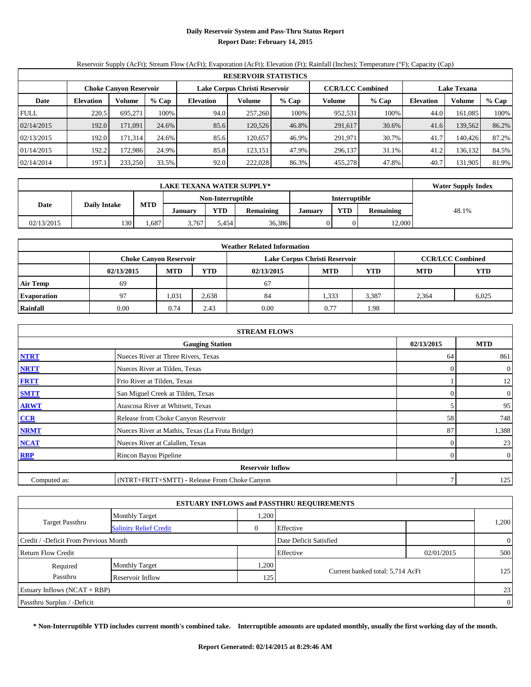# **Daily Reservoir System and Pass-Thru Status Report Report Date: February 14, 2015**

# Reservoir Supply (AcFt); Stream Flow (AcFt); Evaporation (AcFt); Elevation (Ft); Rainfall (Inches); Temperature (°F); Capacity (Cap)

| <b>RESERVOIR STATISTICS</b> |                            |                               |       |                  |                               |       |                         |       |                    |               |       |
|-----------------------------|----------------------------|-------------------------------|-------|------------------|-------------------------------|-------|-------------------------|-------|--------------------|---------------|-------|
|                             |                            | <b>Choke Canyon Reservoir</b> |       |                  | Lake Corpus Christi Reservoir |       | <b>CCR/LCC Combined</b> |       | <b>Lake Texana</b> |               |       |
| Date                        | Volume<br><b>Elevation</b> |                               | % Cap | <b>Elevation</b> | Volume                        | % Cap | Volume                  | % Cap | Elevation          | <b>Volume</b> | % Cap |
| <b>FULL</b>                 | 220.5                      | 695.271                       | 100%  | 94.0             | 257,260                       | 100%  | 952,531                 | 100%  | 44.0               | 161.085       | 100%  |
| 02/14/2015                  | 192.0                      | 171.091                       | 24.6% | 85.6             | 120,526                       | 46.8% | 291,617                 | 30.6% | 41.6               | 139,562       | 86.2% |
| 02/13/2015                  | 192.0                      | 171.314                       | 24.6% | 85.6             | 120.657                       | 46.9% | 291.971                 | 30.7% | 41.7               | 140.426       | 87.2% |
| 01/14/2015                  | 192.2                      | 172.9861                      | 24.9% | 85.8             | 123.151                       | 47.9% | 296,137                 | 31.1% | 41.2               | 136.132       | 84.5% |
| 02/14/2014                  | 197.1                      | 233,250                       | 33.5% | 92.0             | 222,028                       | 86.3% | 455,278                 | 47.8% | 40.7               | 131,905       | 81.9% |

|                             | <b>LAKE TEXANA WATER SUPPLY*</b> |            |                |                   |                  |         |               |                  |       |  |  |
|-----------------------------|----------------------------------|------------|----------------|-------------------|------------------|---------|---------------|------------------|-------|--|--|
|                             |                                  |            |                | Non-Interruptible |                  |         | Interruptible |                  |       |  |  |
| Date<br><b>Daily Intake</b> |                                  | <b>MTD</b> | <b>January</b> | <b>YTD</b>        | <b>Remaining</b> | January | <b>YTD</b>    | <b>Remaining</b> | 48.1% |  |  |
| 02/13/2015                  | 130                              | .687       | 3.767          | 5.454             | 36,386           |         |               | 12.000           |       |  |  |

| <b>Weather Related Information</b> |                                                                           |                               |       |      |                               |       |                         |            |  |  |  |
|------------------------------------|---------------------------------------------------------------------------|-------------------------------|-------|------|-------------------------------|-------|-------------------------|------------|--|--|--|
|                                    |                                                                           | <b>Choke Canyon Reservoir</b> |       |      | Lake Corpus Christi Reservoir |       | <b>CCR/LCC Combined</b> |            |  |  |  |
|                                    | <b>MTD</b><br><b>YTD</b><br><b>MTD</b><br>YTD<br>02/13/2015<br>02/13/2015 |                               |       |      |                               |       |                         | <b>YTD</b> |  |  |  |
| <b>Air Temp</b>                    | 69                                                                        |                               |       | 67   |                               |       |                         |            |  |  |  |
| <b>Evaporation</b>                 | 97                                                                        | 1,031                         | 2,638 | 84   | 1,333                         | 3,387 | 2.364                   | 6,025      |  |  |  |
| Rainfall                           | 0.00                                                                      | 0.74                          | 2.43  | 0.00 | 0.77                          | 1.98  |                         |            |  |  |  |

| <b>STREAM FLOWS</b>                  |                                                 |          |                  |  |  |  |  |  |
|--------------------------------------|-------------------------------------------------|----------|------------------|--|--|--|--|--|
| 02/13/2015<br><b>Gauging Station</b> |                                                 |          |                  |  |  |  |  |  |
| <b>NTRT</b>                          | Nueces River at Three Rivers, Texas             | 64       | 861              |  |  |  |  |  |
| <b>NRTT</b>                          | Nueces River at Tilden, Texas                   | $\Omega$ | $\boldsymbol{0}$ |  |  |  |  |  |
| <b>FRTT</b>                          | Frio River at Tilden, Texas                     |          | 12               |  |  |  |  |  |
| <b>SMTT</b>                          | San Miguel Creek at Tilden, Texas               | 0        | $\overline{0}$   |  |  |  |  |  |
| <b>ARWT</b>                          | Atascosa River at Whitsett, Texas               |          | 95               |  |  |  |  |  |
| CCR                                  | Release from Choke Canyon Reservoir             | 58       | 748              |  |  |  |  |  |
| <b>NRMT</b>                          | Nueces River at Mathis, Texas (La Fruta Bridge) | 87       | 1,388            |  |  |  |  |  |
| <b>NCAT</b>                          | Nueces River at Calallen, Texas                 | 0        | 23               |  |  |  |  |  |
| RBP                                  | Rincon Bayou Pipeline                           | $\Omega$ | $\boldsymbol{0}$ |  |  |  |  |  |
|                                      | <b>Reservoir Inflow</b>                         |          |                  |  |  |  |  |  |
| Computed as:                         | (NTRT+FRTT+SMTT) - Release From Choke Canyon    | 7        | 125              |  |  |  |  |  |

|                                       |                               |                        | <b>ESTUARY INFLOWS and PASSTHRU REQUIREMENTS</b> |                |                |  |
|---------------------------------------|-------------------------------|------------------------|--------------------------------------------------|----------------|----------------|--|
|                                       | <b>Monthly Target</b>         | .200                   |                                                  |                |                |  |
| Target Passthru                       | <b>Salinity Relief Credit</b> | 0                      | Effective                                        |                | 1,200          |  |
| Credit / -Deficit From Previous Month |                               | Date Deficit Satisfied |                                                  | $\overline{0}$ |                |  |
| <b>Return Flow Credit</b>             |                               |                        | Effective                                        | 02/01/2015     | 500            |  |
| Required                              | <b>Monthly Target</b>         | .200                   |                                                  |                |                |  |
| Passthru                              | Reservoir Inflow              | 125                    | Current banked total: 5,714 AcFt                 |                | 125            |  |
| Estuary Inflows $(NCAT + RBP)$        |                               |                        |                                                  |                | 23             |  |
| Passthru Surplus / -Deficit           |                               |                        |                                                  |                | $\overline{0}$ |  |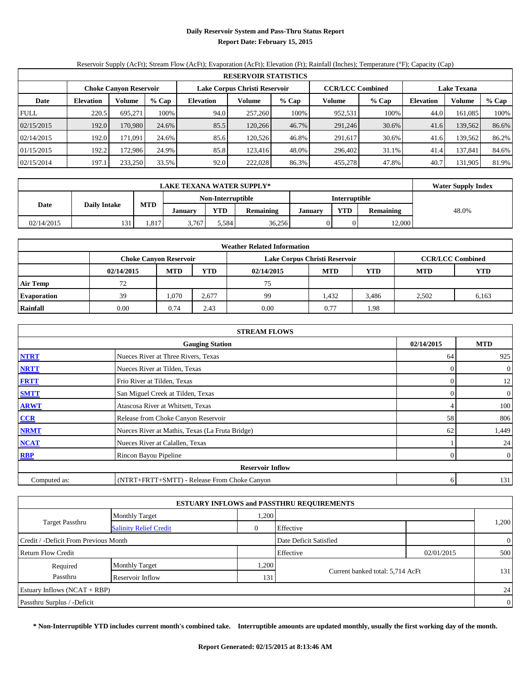# **Daily Reservoir System and Pass-Thru Status Report Report Date: February 15, 2015**

# Reservoir Supply (AcFt); Stream Flow (AcFt); Evaporation (AcFt); Elevation (Ft); Rainfall (Inches); Temperature (°F); Capacity (Cap)

| <b>RESERVOIR STATISTICS</b> |                  |                               |       |                               |         |         |                         |       |                    |         |       |
|-----------------------------|------------------|-------------------------------|-------|-------------------------------|---------|---------|-------------------------|-------|--------------------|---------|-------|
|                             |                  | <b>Choke Canyon Reservoir</b> |       | Lake Corpus Christi Reservoir |         |         | <b>CCR/LCC Combined</b> |       | <b>Lake Texana</b> |         |       |
| Date                        | <b>Elevation</b> | % Cap<br>Volume               |       | <b>Elevation</b>              | Volume  | $%$ Cap | Volume                  | % Cap | <b>Elevation</b>   | Volume  | % Cap |
| <b>FULL</b>                 | 220.5            | 695.271                       | 100%  | 94.0                          | 257,260 | 100%    | 952,531                 | 100%  | 44.0               | 161,085 | 100%  |
| 02/15/2015                  | 192.0            | 170.980                       | 24.6% | 85.5                          | 120.266 | 46.7%   | 291,246                 | 30.6% | 41.6               | 139,562 | 86.6% |
| 02/14/2015                  | 192.0            | 171.091                       | 24.6% | 85.6                          | 120.526 | 46.8%   | 291.617                 | 30.6% | 41.6               | 139.562 | 86.2% |
| 01/15/2015                  | 192.2            | 172.986                       | 24.9% | 85.8                          | 123.416 | 48.0%   | 296,402                 | 31.1% | 41.4               | 137,841 | 84.6% |
| 02/15/2014                  | 197.1            | 233,250                       | 33.5% | 92.0                          | 222,028 | 86.3%   | 455.278                 | 47.8% | 40.7               | 131,905 | 81.9% |

|                             | <b>LAKE TEXANA WATER SUPPLY*</b> |            |                |                   |                  |         |               |                  |       |  |  |
|-----------------------------|----------------------------------|------------|----------------|-------------------|------------------|---------|---------------|------------------|-------|--|--|
|                             |                                  |            |                | Non-Interruptible |                  |         | Interruptible |                  |       |  |  |
| Date<br><b>Daily Intake</b> |                                  | <b>MTD</b> | <b>January</b> | <b>YTD</b>        | <b>Remaining</b> | January | <b>YTD</b>    | <b>Remaining</b> | 48.0% |  |  |
| 02/14/2015                  | 131                              | .817       | 3.767          | 5.584             | 36,256           |         |               | 12,000           |       |  |  |

| <b>Weather Related Information</b> |            |                               |            |            |                               |                         |            |            |  |  |  |
|------------------------------------|------------|-------------------------------|------------|------------|-------------------------------|-------------------------|------------|------------|--|--|--|
|                                    |            | <b>Choke Canyon Reservoir</b> |            |            | Lake Corpus Christi Reservoir | <b>CCR/LCC Combined</b> |            |            |  |  |  |
|                                    | 02/14/2015 | <b>MTD</b>                    | <b>YTD</b> | 02/14/2015 | <b>MTD</b>                    | <b>YTD</b>              | <b>MTD</b> | <b>YTD</b> |  |  |  |
| <b>Air Temp</b>                    | 72         |                               |            | 75         |                               |                         |            |            |  |  |  |
| <b>Evaporation</b>                 | 39         | 1.070                         | 2.677      | 99         | 1,432                         | 3,486                   | 2.502      | 6,163      |  |  |  |
| Rainfall                           | 0.00       | 0.74                          | 2.43       | 0.00       | 0.77                          | 1.98                    |            |            |  |  |  |

| <b>STREAM FLOWS</b> |                                                 |            |                  |  |  |  |  |  |  |
|---------------------|-------------------------------------------------|------------|------------------|--|--|--|--|--|--|
|                     | <b>Gauging Station</b>                          | 02/14/2015 | <b>MTD</b>       |  |  |  |  |  |  |
| <b>NTRT</b>         | Nueces River at Three Rivers, Texas             | 64         | 925              |  |  |  |  |  |  |
| <b>NRTT</b>         | Nueces River at Tilden, Texas                   | $\theta$   | $\boldsymbol{0}$ |  |  |  |  |  |  |
| <b>FRTT</b>         | Frio River at Tilden, Texas                     | 0          | 12               |  |  |  |  |  |  |
| <b>SMTT</b>         | San Miguel Creek at Tilden, Texas               | 0          | $\boldsymbol{0}$ |  |  |  |  |  |  |
| <b>ARWT</b>         | Atascosa River at Whitsett, Texas               |            | 100              |  |  |  |  |  |  |
| CCR                 | Release from Choke Canyon Reservoir             | 58         | 806              |  |  |  |  |  |  |
| <b>NRMT</b>         | Nueces River at Mathis, Texas (La Fruta Bridge) | 62         | 1,449            |  |  |  |  |  |  |
| <b>NCAT</b>         | Nueces River at Calallen, Texas                 |            | 24               |  |  |  |  |  |  |
| RBP                 | Rincon Bayou Pipeline                           | $\Omega$   | $\boldsymbol{0}$ |  |  |  |  |  |  |
|                     | <b>Reservoir Inflow</b>                         |            |                  |  |  |  |  |  |  |
| Computed as:        | (NTRT+FRTT+SMTT) - Release From Choke Canyon    | 6          | 131              |  |  |  |  |  |  |

|                                       |                               |                | <b>ESTUARY INFLOWS and PASSTHRU REQUIREMENTS</b> |            |                |
|---------------------------------------|-------------------------------|----------------|--------------------------------------------------|------------|----------------|
|                                       | <b>Monthly Target</b>         | .200           |                                                  |            |                |
| <b>Target Passthru</b>                | <b>Salinity Relief Credit</b> | $\overline{0}$ | Effective                                        |            | 1,200          |
| Credit / -Deficit From Previous Month |                               |                | Date Deficit Satisfied                           |            | $\overline{0}$ |
| <b>Return Flow Credit</b>             |                               |                | Effective                                        | 02/01/2015 | 500            |
| Required                              | <b>Monthly Target</b>         | ,200           |                                                  |            |                |
| Passthru                              | Reservoir Inflow              | 1311           | Current banked total: 5,714 AcFt                 |            | 131            |
| Estuary Inflows $(NCAT + RBP)$        |                               |                |                                                  |            | 24             |
| Passthru Surplus / -Deficit           |                               |                |                                                  |            | $\overline{0}$ |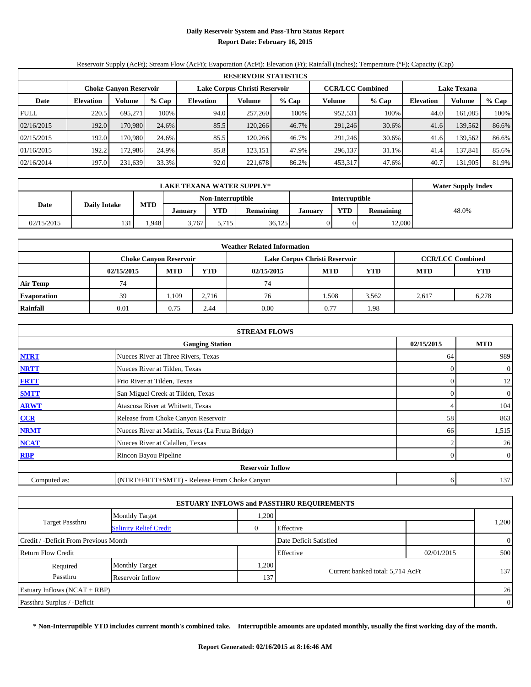# **Daily Reservoir System and Pass-Thru Status Report Report Date: February 16, 2015**

# Reservoir Supply (AcFt); Stream Flow (AcFt); Evaporation (AcFt); Elevation (Ft); Rainfall (Inches); Temperature (°F); Capacity (Cap)

| <b>RESERVOIR STATISTICS</b> |                  |                               |       |                  |                               |         |                         |       |                    |         |       |
|-----------------------------|------------------|-------------------------------|-------|------------------|-------------------------------|---------|-------------------------|-------|--------------------|---------|-------|
|                             |                  | <b>Choke Canyon Reservoir</b> |       |                  | Lake Corpus Christi Reservoir |         | <b>CCR/LCC Combined</b> |       | <b>Lake Texana</b> |         |       |
| Date                        | <b>Elevation</b> | Volume                        | % Cap | <b>Elevation</b> | Volume                        | $%$ Cap | Volume                  | % Cap | Elevation          | Volume  | % Cap |
| <b>FULL</b>                 | 220.5            | 695.271                       | 100%  | 94.0             | 257,260                       | 100%    | 952,531                 | 100%  | 44.0               | 161,085 | 100%  |
| 02/16/2015                  | 192.0            | 170.980                       | 24.6% | 85.5             | 120.266                       | 46.7%   | 291,246                 | 30.6% | 41.6               | 139,562 | 86.6% |
| 02/15/2015                  | 192.0            | 170.980                       | 24.6% | 85.5             | 120.266                       | 46.7%   | 291,246                 | 30.6% | 41.6               | 139.562 | 86.6% |
| 01/16/2015                  | 192.2            | 172.986                       | 24.9% | 85.8             | 123,151                       | 47.9%   | 296,137                 | 31.1% | 41.4               | 137,841 | 85.6% |
| 02/16/2014                  | 197.0            | 231,639                       | 33.3% | 92.0             | 221,678                       | 86.2%   | 453,317                 | 47.6% | 40.7               | 131,905 | 81.9% |

|            | <b>Water Supply Index</b> |            |                |                   |                  |         |                      |           |       |
|------------|---------------------------|------------|----------------|-------------------|------------------|---------|----------------------|-----------|-------|
|            |                           |            |                | Non-Interruptible |                  |         | <b>Interruptible</b> |           |       |
| Date       | <b>Daily Intake</b>       | <b>MTD</b> | <b>January</b> | <b>YTD</b>        | <b>Remaining</b> | January | <b>YTD</b>           | Remaining | 48.0% |
| 02/15/2015 | 131                       | .948       | 3.767          | 5.715             | 36,125           |         |                      | 12,000    |       |

| <b>Weather Related Information</b> |            |                               |            |            |                               |                         |            |            |  |  |  |
|------------------------------------|------------|-------------------------------|------------|------------|-------------------------------|-------------------------|------------|------------|--|--|--|
|                                    |            | <b>Choke Canyon Reservoir</b> |            |            | Lake Corpus Christi Reservoir | <b>CCR/LCC Combined</b> |            |            |  |  |  |
|                                    | 02/15/2015 | <b>MTD</b>                    | <b>YTD</b> | 02/15/2015 | <b>MTD</b>                    | <b>YTD</b>              | <b>MTD</b> | <b>YTD</b> |  |  |  |
| <b>Air Temp</b>                    | 74         |                               |            | 74         |                               |                         |            |            |  |  |  |
| <b>Evaporation</b>                 | 39         | 1,109                         | 2,716      | 76         | .508                          | 3,562                   | 2.617      | 6,278      |  |  |  |
| Rainfall                           | 0.01       | 0.75                          | 2.44       | 0.00       | 0.77                          | 1.98                    |            |            |  |  |  |

| <b>STREAM FLOWS</b> |                                                 |            |                  |  |  |  |  |  |  |
|---------------------|-------------------------------------------------|------------|------------------|--|--|--|--|--|--|
|                     | <b>Gauging Station</b>                          | 02/15/2015 | <b>MTD</b>       |  |  |  |  |  |  |
| <b>NTRT</b>         | Nueces River at Three Rivers, Texas             | 64         | 989              |  |  |  |  |  |  |
| <b>NRTT</b>         | Nueces River at Tilden, Texas                   | $\theta$   | $\boldsymbol{0}$ |  |  |  |  |  |  |
| <b>FRTT</b>         | Frio River at Tilden, Texas                     | 0          | 12               |  |  |  |  |  |  |
| <b>SMTT</b>         | San Miguel Creek at Tilden, Texas               | 0          | $\boldsymbol{0}$ |  |  |  |  |  |  |
| <b>ARWT</b>         | Atascosa River at Whitsett, Texas               |            | 104              |  |  |  |  |  |  |
| CCR                 | Release from Choke Canyon Reservoir             | 58         | 863              |  |  |  |  |  |  |
| <b>NRMT</b>         | Nueces River at Mathis, Texas (La Fruta Bridge) | 66         | 1,515            |  |  |  |  |  |  |
| <b>NCAT</b>         | Nueces River at Calallen, Texas                 |            | 26               |  |  |  |  |  |  |
| RBP                 | Rincon Bayou Pipeline                           | $\Omega$   | $\boldsymbol{0}$ |  |  |  |  |  |  |
|                     | <b>Reservoir Inflow</b>                         |            |                  |  |  |  |  |  |  |
| Computed as:        | (NTRT+FRTT+SMTT) - Release From Choke Canyon    | 6          | 137              |  |  |  |  |  |  |

|                                       |                               |                  | <b>ESTUARY INFLOWS and PASSTHRU REQUIREMENTS</b> |            |                |  |
|---------------------------------------|-------------------------------|------------------|--------------------------------------------------|------------|----------------|--|
|                                       | <b>Monthly Target</b>         | .200             |                                                  |            |                |  |
| <b>Target Passthru</b>                | <b>Salinity Relief Credit</b> | $\overline{0}$   | Effective                                        |            | 1,200          |  |
| Credit / -Deficit From Previous Month |                               |                  | Date Deficit Satisfied                           |            | $\overline{0}$ |  |
| <b>Return Flow Credit</b>             |                               |                  | Effective                                        | 02/01/2015 | 500            |  |
| Required                              | <b>Monthly Target</b>         | .200             |                                                  |            |                |  |
| Passthru                              | Reservoir Inflow              | 137 <sup>1</sup> | Current banked total: 5,714 AcFt                 |            | 137            |  |
| Estuary Inflows $(NCAT + RBP)$        |                               |                  |                                                  |            | 26             |  |
| Passthru Surplus / -Deficit           |                               |                  |                                                  |            | $\overline{0}$ |  |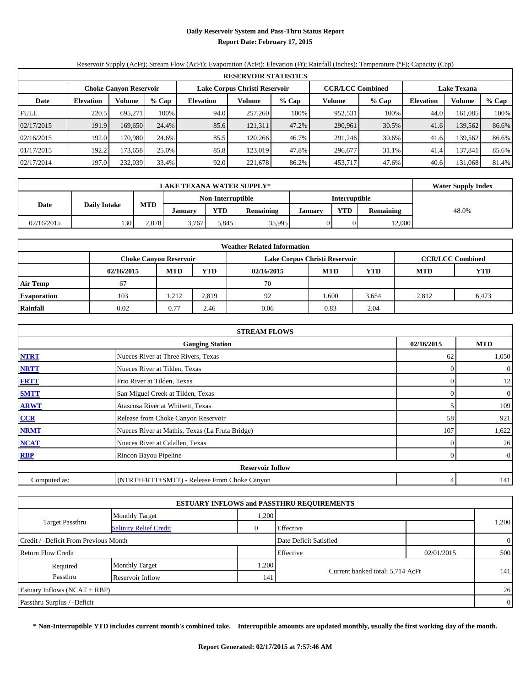# **Daily Reservoir System and Pass-Thru Status Report Report Date: February 17, 2015**

# Reservoir Supply (AcFt); Stream Flow (AcFt); Evaporation (AcFt); Elevation (Ft); Rainfall (Inches); Temperature (°F); Capacity (Cap)

| <b>RESERVOIR STATISTICS</b> |                  |                               |       |                  |                               |         |                         |       |                    |         |       |
|-----------------------------|------------------|-------------------------------|-------|------------------|-------------------------------|---------|-------------------------|-------|--------------------|---------|-------|
|                             |                  | <b>Choke Canyon Reservoir</b> |       |                  | Lake Corpus Christi Reservoir |         | <b>CCR/LCC Combined</b> |       | <b>Lake Texana</b> |         |       |
| Date                        | <b>Elevation</b> | Volume                        | % Cap | <b>Elevation</b> | Volume                        | $%$ Cap | Volume                  | % Cap | Elevation          | Volume  | % Cap |
| <b>FULL</b>                 | 220.5            | 695.271                       | 100%  | 94.0             | 257,260                       | 100%    | 952,531                 | 100%  | 44.0               | 161,085 | 100%  |
| 02/17/2015                  | 191.9            | 169.650                       | 24.4% | 85.6             | 121,311                       | 47.2%   | 290,961                 | 30.5% | 41.6               | 139,562 | 86.6% |
| 02/16/2015                  | 192.0            | 170.980                       | 24.6% | 85.5             | 120.266                       | 46.7%   | 291,246                 | 30.6% | 41.6               | 139.562 | 86.6% |
| 01/17/2015                  | 192.2            | 173.658                       | 25.0% | 85.8             | 123,019                       | 47.8%   | 296,677                 | 31.1% | 41.4               | 137,841 | 85.6% |
| 02/17/2014                  | 197.0            | 232,039                       | 33.4% | 92.0             | 221,678                       | 86.2%   | 453,717                 | 47.6% | 40.6               | 131,068 | 81.4% |

|            | <b>Water Supply Index</b> |            |                |                   |                  |         |                      |                  |       |
|------------|---------------------------|------------|----------------|-------------------|------------------|---------|----------------------|------------------|-------|
|            |                           |            |                | Non-Interruptible |                  |         | <b>Interruptible</b> |                  |       |
| Date       | <b>Daily Intake</b>       | <b>MTD</b> | <b>January</b> | <b>YTD</b>        | <b>Remaining</b> | January | <b>YTD</b>           | <b>Remaining</b> | 48.0% |
| 02/16/2015 | 130                       | 2.078      | 3.767          | 5.845             | 35,995           |         |                      | 12,000           |       |

| <b>Weather Related Information</b> |            |                               |            |            |                               |                         |            |            |  |  |  |
|------------------------------------|------------|-------------------------------|------------|------------|-------------------------------|-------------------------|------------|------------|--|--|--|
|                                    |            | <b>Choke Canyon Reservoir</b> |            |            | Lake Corpus Christi Reservoir | <b>CCR/LCC Combined</b> |            |            |  |  |  |
|                                    | 02/16/2015 | <b>MTD</b>                    | <b>YTD</b> | 02/16/2015 | <b>MTD</b>                    | YTD                     | <b>MTD</b> | <b>YTD</b> |  |  |  |
| <b>Air Temp</b>                    | 67         |                               |            | 70         |                               |                         |            |            |  |  |  |
| <b>Evaporation</b>                 | 103        | 1.212                         | 2.819      | 92         | ,600                          | 3,654                   | 2.812      | 6,473      |  |  |  |
| Rainfall                           | 0.02       | 0.77                          | 2.46       | 0.06       | 0.83                          | 2.04                    |            |            |  |  |  |

| <b>STREAM FLOWS</b> |                                                 |            |                |  |  |  |  |  |  |
|---------------------|-------------------------------------------------|------------|----------------|--|--|--|--|--|--|
|                     | <b>Gauging Station</b>                          | 02/16/2015 | <b>MTD</b>     |  |  |  |  |  |  |
| <b>NTRT</b>         | Nueces River at Three Rivers, Texas             | 62         | 1,050          |  |  |  |  |  |  |
| <b>NRTT</b>         | Nueces River at Tilden, Texas                   | $\Omega$   | $\overline{0}$ |  |  |  |  |  |  |
| <b>FRTT</b>         | Frio River at Tilden, Texas                     | $\Omega$   | 12             |  |  |  |  |  |  |
| <b>SMTT</b>         | San Miguel Creek at Tilden, Texas               | $\Omega$   | $\overline{0}$ |  |  |  |  |  |  |
| <b>ARWT</b>         | Atascosa River at Whitsett, Texas               |            | 109            |  |  |  |  |  |  |
| CCR                 | Release from Choke Canyon Reservoir             | 58         | 921            |  |  |  |  |  |  |
| <b>NRMT</b>         | Nueces River at Mathis, Texas (La Fruta Bridge) | 107        | 1,622          |  |  |  |  |  |  |
| <b>NCAT</b>         | Nueces River at Calallen, Texas                 | $\Omega$   | 26             |  |  |  |  |  |  |
| <b>RBP</b>          | Rincon Bayou Pipeline                           | $\Omega$   | $\overline{0}$ |  |  |  |  |  |  |
|                     | <b>Reservoir Inflow</b>                         |            |                |  |  |  |  |  |  |
| Computed as:        | (NTRT+FRTT+SMTT) - Release From Choke Canyon    |            | 141            |  |  |  |  |  |  |

|                                       |                               |                | <b>ESTUARY INFLOWS and PASSTHRU REQUIREMENTS</b> |            |                |  |  |
|---------------------------------------|-------------------------------|----------------|--------------------------------------------------|------------|----------------|--|--|
|                                       | <b>Monthly Target</b>         | .200           |                                                  |            |                |  |  |
| <b>Target Passthru</b>                | <b>Salinity Relief Credit</b> | $\overline{0}$ | Effective                                        |            | 1,200          |  |  |
| Credit / -Deficit From Previous Month |                               |                | Date Deficit Satisfied                           |            | $\overline{0}$ |  |  |
| <b>Return Flow Credit</b>             |                               |                | Effective                                        | 02/01/2015 | 500            |  |  |
| Required                              | <b>Monthly Target</b>         | .200           |                                                  |            |                |  |  |
| Passthru                              | Reservoir Inflow              | 141            | Current banked total: 5,714 AcFt                 |            | 141            |  |  |
| Estuary Inflows $(NCAT + RBP)$        |                               |                |                                                  |            | 26             |  |  |
| Passthru Surplus / -Deficit           |                               |                |                                                  |            |                |  |  |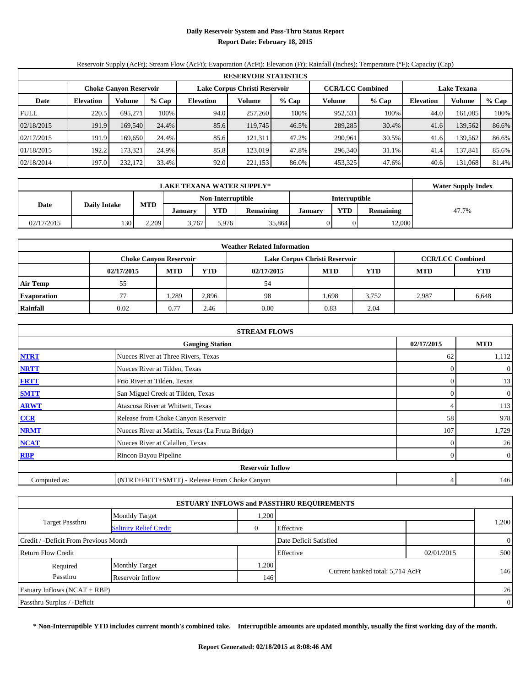# **Daily Reservoir System and Pass-Thru Status Report Report Date: February 18, 2015**

# Reservoir Supply (AcFt); Stream Flow (AcFt); Evaporation (AcFt); Elevation (Ft); Rainfall (Inches); Temperature (°F); Capacity (Cap)

|             | <b>RESERVOIR STATISTICS</b> |                               |       |                               |         |       |                         |       |                    |               |       |  |
|-------------|-----------------------------|-------------------------------|-------|-------------------------------|---------|-------|-------------------------|-------|--------------------|---------------|-------|--|
|             |                             | <b>Choke Canyon Reservoir</b> |       | Lake Corpus Christi Reservoir |         |       | <b>CCR/LCC Combined</b> |       | <b>Lake Texana</b> |               |       |  |
| Date        | <b>Elevation</b>            | Volume                        | % Cap | <b>Elevation</b>              | Volume  | % Cap | Volume                  | % Cap | Elevation          | <b>Volume</b> | % Cap |  |
| <b>FULL</b> | 220.5                       | 695.271                       | 100%  | 94.0                          | 257,260 | 100%  | 952,531                 | 100%  | 44.0               | 161.085       | 100%  |  |
| 02/18/2015  | 191.9                       | 169,540                       | 24.4% | 85.6                          | 119,745 | 46.5% | 289,285                 | 30.4% | 41.6               | 139,562       | 86.6% |  |
| 02/17/2015  | 191.9                       | 169.6501                      | 24.4% | 85.6                          | 121,311 | 47.2% | 290.961                 | 30.5% | 41.6               | 139,562       | 86.6% |  |
| 01/18/2015  | 192.2                       | 173.321                       | 24.9% | 85.8                          | 123,019 | 47.8% | 296,340                 | 31.1% | 41.4               | 137.841       | 85.6% |  |
| 02/18/2014  | 197.0                       | 232,172                       | 33.4% | 92.0                          | 221,153 | 86.0% | 453,325                 | 47.6% | 40.6               | 131,068       | 81.4% |  |

|            | <b>LAKE TEXANA WATER SUPPLY*</b> |            |                |                   |                  |         |                                |        |       |  |  |
|------------|----------------------------------|------------|----------------|-------------------|------------------|---------|--------------------------------|--------|-------|--|--|
|            |                                  |            |                | Non-Interruptible |                  |         | <b>Interruptible</b>           |        |       |  |  |
| Date       | <b>Daily Intake</b>              | <b>MTD</b> | <b>January</b> | <b>YTD</b>        | <b>Remaining</b> | January | <b>YTD</b><br><b>Remaining</b> |        | 47.7% |  |  |
| 02/17/2015 | 130                              | 2.209      | 3.767          | 5.976             | 35,864           |         |                                | 12.000 |       |  |  |

| <b>Weather Related Information</b> |                |                                                                                           |            |            |                |            |                          |       |  |  |  |  |
|------------------------------------|----------------|-------------------------------------------------------------------------------------------|------------|------------|----------------|------------|--------------------------|-------|--|--|--|--|
|                                    |                | Lake Corpus Christi Reservoir<br><b>CCR/LCC Combined</b><br><b>Choke Canyon Reservoir</b> |            |            |                |            |                          |       |  |  |  |  |
|                                    | 02/17/2015     | <b>MTD</b>                                                                                | <b>YTD</b> | 02/17/2015 | <b>MTD</b>     | <b>YTD</b> | <b>YTD</b><br><b>MTD</b> |       |  |  |  |  |
| <b>Air Temp</b>                    | 55             |                                                                                           | 54         |            |                |            |                          |       |  |  |  |  |
| <b>Evaporation</b>                 | 1,289<br>2,896 |                                                                                           |            | 98         | 1,698<br>3,752 |            | 2.987                    | 6,648 |  |  |  |  |
| Rainfall                           | 0.02           | 0.77                                                                                      | 2.46       | 0.00       | 0.83           | 2.04       |                          |       |  |  |  |  |

|              | <b>STREAM FLOWS</b>                             |          |                  |  |  |  |  |  |  |  |
|--------------|-------------------------------------------------|----------|------------------|--|--|--|--|--|--|--|
|              | <b>Gauging Station</b>                          |          |                  |  |  |  |  |  |  |  |
| <b>NTRT</b>  | Nueces River at Three Rivers, Texas             | 62       | 1,112            |  |  |  |  |  |  |  |
| <b>NRTT</b>  | Nueces River at Tilden, Texas                   | $\Omega$ | $\boldsymbol{0}$ |  |  |  |  |  |  |  |
| <b>FRTT</b>  | Frio River at Tilden, Texas                     | 0        | 13               |  |  |  |  |  |  |  |
| <b>SMTT</b>  | San Miguel Creek at Tilden, Texas               | 0        | $\boldsymbol{0}$ |  |  |  |  |  |  |  |
| <b>ARWT</b>  | Atascosa River at Whitsett, Texas               |          | 113              |  |  |  |  |  |  |  |
| CCR          | Release from Choke Canyon Reservoir             | 58       | 978              |  |  |  |  |  |  |  |
| <b>NRMT</b>  | Nueces River at Mathis, Texas (La Fruta Bridge) | 107      | 1,729            |  |  |  |  |  |  |  |
| <b>NCAT</b>  | Nueces River at Calallen, Texas                 | $\Omega$ | 26               |  |  |  |  |  |  |  |
| RBP          | Rincon Bayou Pipeline                           | $\Omega$ | $\boldsymbol{0}$ |  |  |  |  |  |  |  |
|              | <b>Reservoir Inflow</b>                         |          |                  |  |  |  |  |  |  |  |
| Computed as: | (NTRT+FRTT+SMTT) - Release From Choke Canyon    |          | 146              |  |  |  |  |  |  |  |

|                                       |                               |                | <b>ESTUARY INFLOWS and PASSTHRU REQUIREMENTS</b> |            |                |
|---------------------------------------|-------------------------------|----------------|--------------------------------------------------|------------|----------------|
|                                       | <b>Monthly Target</b>         | .200           |                                                  |            |                |
| <b>Target Passthru</b>                | <b>Salinity Relief Credit</b> | $\overline{0}$ | Effective                                        |            | 1,200          |
| Credit / -Deficit From Previous Month |                               |                | Date Deficit Satisfied                           |            | $\overline{0}$ |
| <b>Return Flow Credit</b>             |                               |                | Effective                                        | 02/01/2015 | 500            |
| Required                              | <b>Monthly Target</b>         | .200           |                                                  |            |                |
| Passthru                              | Reservoir Inflow              | 146            | Current banked total: 5,714 AcFt                 |            | 146            |
| Estuary Inflows $(NCAT + RBP)$        |                               |                |                                                  |            | 26             |
| Passthru Surplus / -Deficit           |                               |                |                                                  |            | $\overline{0}$ |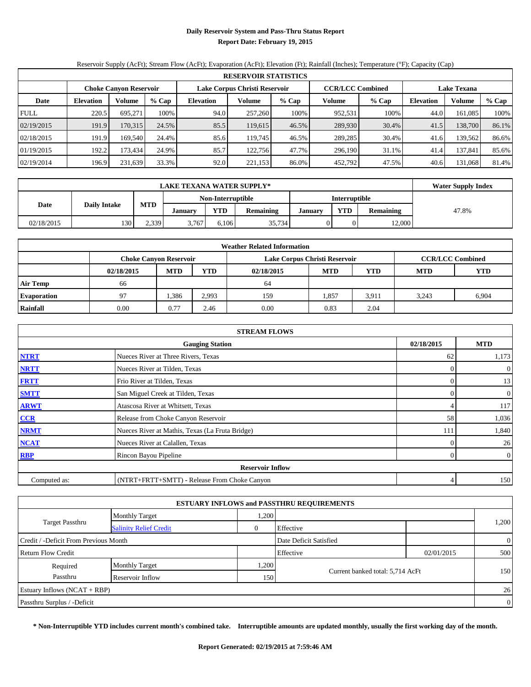# **Daily Reservoir System and Pass-Thru Status Report Report Date: February 19, 2015**

# Reservoir Supply (AcFt); Stream Flow (AcFt); Evaporation (AcFt); Elevation (Ft); Rainfall (Inches); Temperature (°F); Capacity (Cap)

|             | <b>RESERVOIR STATISTICS</b> |                               |       |                               |         |         |                         |         |                    |         |       |  |
|-------------|-----------------------------|-------------------------------|-------|-------------------------------|---------|---------|-------------------------|---------|--------------------|---------|-------|--|
|             |                             | <b>Choke Canyon Reservoir</b> |       | Lake Corpus Christi Reservoir |         |         | <b>CCR/LCC Combined</b> |         | <b>Lake Texana</b> |         |       |  |
| Date        | <b>Elevation</b>            | Volume                        | % Cap | <b>Elevation</b>              | Volume  | $%$ Cap | Volume                  | $%$ Cap | Elevation          | Volume  | % Cap |  |
| <b>FULL</b> | 220.5                       | 695.271                       | 100%  | 94.0                          | 257,260 | 100%    | 952,531                 | 100%    | 44.0               | 161,085 | 100%  |  |
| 02/19/2015  | 191.9                       | 170,315                       | 24.5% | 85.5                          | 119.615 | 46.5%   | 289,930                 | 30.4%   | 41.5               | 138,700 | 86.1% |  |
| 02/18/2015  | 191.9                       | 169.540                       | 24.4% | 85.6                          | 119.745 | 46.5%   | 289,285                 | 30.4%   | 41.6               | 139.562 | 86.6% |  |
| 01/19/2015  | 192.2                       | 173.434                       | 24.9% | 85.7                          | 122.756 | 47.7%   | 296,190                 | 31.1%   | 41.4               | 137,841 | 85.6% |  |
| 02/19/2014  | 196.9                       | 231,639                       | 33.3% | 92.0                          | 221,153 | 86.0%   | 452,792                 | 47.5%   | 40.6               | 131,068 | 81.4% |  |

|            | <b>LAKE TEXANA WATER SUPPLY*</b> |            |                |                   |                  |         |                      |                  |       |  |  |
|------------|----------------------------------|------------|----------------|-------------------|------------------|---------|----------------------|------------------|-------|--|--|
|            |                                  |            |                | Non-Interruptible |                  |         | <b>Interruptible</b> |                  |       |  |  |
| Date       | <b>Daily Intake</b>              | <b>MTD</b> | <b>January</b> | <b>YTD</b>        | <b>Remaining</b> | January | <b>YTD</b>           | <b>Remaining</b> | 47.8% |  |  |
| 02/18/2015 | 130                              | 2.339      | 3.767          | 6.106             | 35,734           |         |                      | 12.000           |       |  |  |

| <b>Weather Related Information</b> |                |                                                                                           |                          |      |       |       |       |       |  |  |  |  |
|------------------------------------|----------------|-------------------------------------------------------------------------------------------|--------------------------|------|-------|-------|-------|-------|--|--|--|--|
|                                    |                | <b>CCR/LCC Combined</b><br>Lake Corpus Christi Reservoir<br><b>Choke Canyon Reservoir</b> |                          |      |       |       |       |       |  |  |  |  |
|                                    | 02/18/2015     | YTD                                                                                       | <b>YTD</b><br><b>MTD</b> |      |       |       |       |       |  |  |  |  |
| <b>Air Temp</b>                    | 66             |                                                                                           |                          | 64   |       |       |       |       |  |  |  |  |
| <b>Evaporation</b>                 | Q <sub>0</sub> | .386                                                                                      | 2.993                    | 159  | 1,857 | 3,911 | 3.243 | 6,904 |  |  |  |  |
| Rainfall                           | 0.00           | 0.77                                                                                      | 2.46                     | 0.00 | 0.83  | 2.04  |       |       |  |  |  |  |

|              | <b>STREAM FLOWS</b>                             |            |                  |  |  |  |  |  |  |  |
|--------------|-------------------------------------------------|------------|------------------|--|--|--|--|--|--|--|
|              | 02/18/2015                                      | <b>MTD</b> |                  |  |  |  |  |  |  |  |
| <b>NTRT</b>  | Nueces River at Three Rivers, Texas             | 62         | 1,173            |  |  |  |  |  |  |  |
| <b>NRTT</b>  | Nueces River at Tilden, Texas                   | $\Omega$   | $\boldsymbol{0}$ |  |  |  |  |  |  |  |
| <b>FRTT</b>  | Frio River at Tilden, Texas                     | 0          | 13               |  |  |  |  |  |  |  |
| <b>SMTT</b>  | San Miguel Creek at Tilden, Texas               | 0          | $\overline{0}$   |  |  |  |  |  |  |  |
| <b>ARWT</b>  | Atascosa River at Whitsett, Texas               |            | 117              |  |  |  |  |  |  |  |
| CCR          | Release from Choke Canyon Reservoir             | 58         | 1,036            |  |  |  |  |  |  |  |
| <b>NRMT</b>  | Nueces River at Mathis, Texas (La Fruta Bridge) | 111        | 1,840            |  |  |  |  |  |  |  |
| <b>NCAT</b>  | Nueces River at Calallen, Texas                 | 0          | 26               |  |  |  |  |  |  |  |
| RBP          | Rincon Bayou Pipeline                           | $\Omega$   | $\boldsymbol{0}$ |  |  |  |  |  |  |  |
|              | <b>Reservoir Inflow</b>                         |            |                  |  |  |  |  |  |  |  |
| Computed as: | (NTRT+FRTT+SMTT) - Release From Choke Canyon    | 4          | 150              |  |  |  |  |  |  |  |

|                                       |                               |                        | <b>ESTUARY INFLOWS and PASSTHRU REQUIREMENTS</b> |                |                |
|---------------------------------------|-------------------------------|------------------------|--------------------------------------------------|----------------|----------------|
|                                       | <b>Monthly Target</b>         | .200                   |                                                  |                |                |
| Target Passthru                       | <b>Salinity Relief Credit</b> | 0                      | Effective                                        |                | 1,200          |
| Credit / -Deficit From Previous Month |                               | Date Deficit Satisfied |                                                  | $\overline{0}$ |                |
| <b>Return Flow Credit</b>             |                               |                        | Effective                                        | 02/01/2015     | 500            |
| Required                              | <b>Monthly Target</b>         | .200                   |                                                  |                |                |
| Passthru                              | Reservoir Inflow              | 150                    | Current banked total: 5,714 AcFt                 |                | 150            |
| Estuary Inflows $(NCAT + RBP)$        |                               |                        |                                                  |                | 26             |
| Passthru Surplus / -Deficit           |                               |                        |                                                  |                | $\overline{0}$ |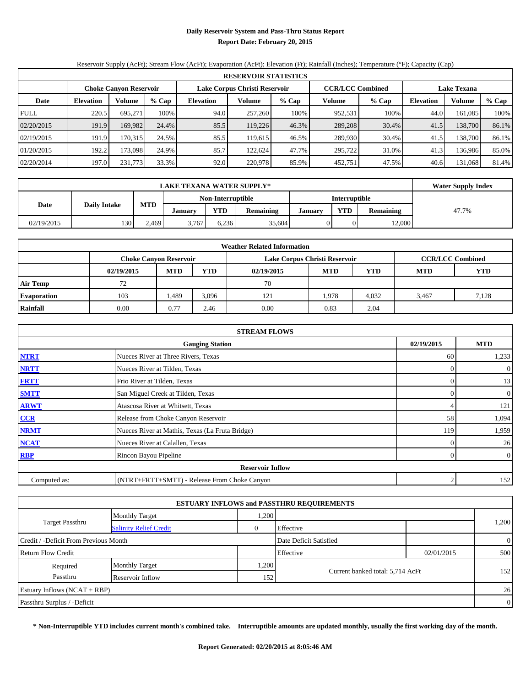# **Daily Reservoir System and Pass-Thru Status Report Report Date: February 20, 2015**

# Reservoir Supply (AcFt); Stream Flow (AcFt); Evaporation (AcFt); Elevation (Ft); Rainfall (Inches); Temperature (°F); Capacity (Cap)

|             | <b>RESERVOIR STATISTICS</b> |                               |       |                               |         |       |                         |       |                    |               |       |  |
|-------------|-----------------------------|-------------------------------|-------|-------------------------------|---------|-------|-------------------------|-------|--------------------|---------------|-------|--|
|             |                             | <b>Choke Canyon Reservoir</b> |       | Lake Corpus Christi Reservoir |         |       | <b>CCR/LCC Combined</b> |       | <b>Lake Texana</b> |               |       |  |
| Date        | <b>Elevation</b>            | Volume                        | % Cap | <b>Elevation</b>              | Volume  | % Cap | Volume                  | % Cap | Elevation          | <b>Volume</b> | % Cap |  |
| <b>FULL</b> | 220.5                       | 695.271                       | 100%  | 94.0                          | 257,260 | 100%  | 952,531                 | 100%  | 44.0               | 161.085       | 100%  |  |
| 02/20/2015  | 191.9                       | 169.982                       | 24.4% | 85.5                          | 119.226 | 46.3% | 289,208                 | 30.4% | 41.5               | 138,700       | 86.1% |  |
| 02/19/2015  | 191.9                       | 170.315                       | 24.5% | 85.5                          | 119.615 | 46.5% | 289,930                 | 30.4% | 41.5               | 138,700       | 86.1% |  |
| 01/20/2015  | 192.2                       | 173.0981                      | 24.9% | 85.7                          | 122,624 | 47.7% | 295.722                 | 31.0% | 41.3               | 136.986       | 85.0% |  |
| 02/20/2014  | 197.0                       | 231,773                       | 33.3% | 92.0                          | 220,978 | 85.9% | 452,751                 | 47.5% | 40.6               | 131,068       | 81.4% |  |

|            | <b>LAKE TEXANA WATER SUPPLY*</b> |                              |       |                   |                  |         |                      |                  |       |  |  |  |
|------------|----------------------------------|------------------------------|-------|-------------------|------------------|---------|----------------------|------------------|-------|--|--|--|
|            |                                  |                              |       | Non-Interruptible |                  |         | <b>Interruptible</b> |                  |       |  |  |  |
| Date       | <b>Daily Intake</b>              | <b>MTD</b><br><b>January</b> |       | <b>YTD</b>        | <b>Remaining</b> | January | <b>YTD</b>           | <b>Remaining</b> | 47.7% |  |  |  |
| 02/19/2015 | 130                              | 2.469                        | 3.767 | 6.236             | 35,604           |         |                      | 12.000           |       |  |  |  |

|                    | <b>Weather Related Information</b> |                               |            |            |                               |                         |            |            |  |  |  |  |  |
|--------------------|------------------------------------|-------------------------------|------------|------------|-------------------------------|-------------------------|------------|------------|--|--|--|--|--|
|                    |                                    | <b>Choke Canyon Reservoir</b> |            |            | Lake Corpus Christi Reservoir | <b>CCR/LCC Combined</b> |            |            |  |  |  |  |  |
|                    | 02/19/2015                         | <b>MTD</b>                    | <b>YTD</b> | 02/19/2015 | <b>MTD</b>                    | <b>YTD</b>              | <b>MTD</b> | <b>YTD</b> |  |  |  |  |  |
| <b>Air Temp</b>    | 72                                 |                               |            | 70         |                               |                         |            |            |  |  |  |  |  |
| <b>Evaporation</b> | 103                                | 489.ء                         | 3,096      | 121        | 1,978                         | 4,032                   | 3.467      | 7,128      |  |  |  |  |  |
| Rainfall           | 0.00                               | 0.77                          | 2.46       | 0.00       | 0.83                          | 2.04                    |            |            |  |  |  |  |  |

|              | <b>STREAM FLOWS</b>                             |          |                  |  |  |  |  |  |
|--------------|-------------------------------------------------|----------|------------------|--|--|--|--|--|
|              | <b>Gauging Station</b>                          |          |                  |  |  |  |  |  |
| <b>NTRT</b>  | Nueces River at Three Rivers, Texas             | 60       | 1,233            |  |  |  |  |  |
| <b>NRTT</b>  | Nueces River at Tilden, Texas                   |          | $\boldsymbol{0}$ |  |  |  |  |  |
| <b>FRTT</b>  | Frio River at Tilden, Texas                     |          | 13               |  |  |  |  |  |
| <b>SMTT</b>  | San Miguel Creek at Tilden, Texas               |          | $\boldsymbol{0}$ |  |  |  |  |  |
| <b>ARWT</b>  | Atascosa River at Whitsett, Texas               |          | 121              |  |  |  |  |  |
| CCR          | Release from Choke Canyon Reservoir             | 58       | 1,094            |  |  |  |  |  |
| <b>NRMT</b>  | Nueces River at Mathis, Texas (La Fruta Bridge) | 119      | 1,959            |  |  |  |  |  |
| <b>NCAT</b>  | Nueces River at Calallen, Texas                 | $\Omega$ | 26               |  |  |  |  |  |
| <b>RBP</b>   | Rincon Bayou Pipeline                           | $\Omega$ | $\overline{0}$   |  |  |  |  |  |
|              | <b>Reservoir Inflow</b>                         |          |                  |  |  |  |  |  |
| Computed as: | (NTRT+FRTT+SMTT) - Release From Choke Canyon    | ↑        | 152              |  |  |  |  |  |

|                                       |                               |      | <b>ESTUARY INFLOWS and PASSTHRU REQUIREMENTS</b> |            |                |
|---------------------------------------|-------------------------------|------|--------------------------------------------------|------------|----------------|
|                                       | <b>Monthly Target</b>         | .200 |                                                  |            |                |
| Target Passthru                       | <b>Salinity Relief Credit</b> | 0    | Effective                                        |            | 1,200          |
| Credit / -Deficit From Previous Month |                               |      | Date Deficit Satisfied                           |            | $\overline{0}$ |
| <b>Return Flow Credit</b>             |                               |      | Effective                                        | 02/01/2015 | 500            |
| Required                              | <b>Monthly Target</b>         | .200 |                                                  |            |                |
| Passthru                              | Reservoir Inflow              | 152  | Current banked total: 5,714 AcFt                 |            | 152            |
| Estuary Inflows $(NCAT + RBP)$        |                               |      |                                                  |            | 26             |
| Passthru Surplus / -Deficit           |                               |      |                                                  |            | $\overline{0}$ |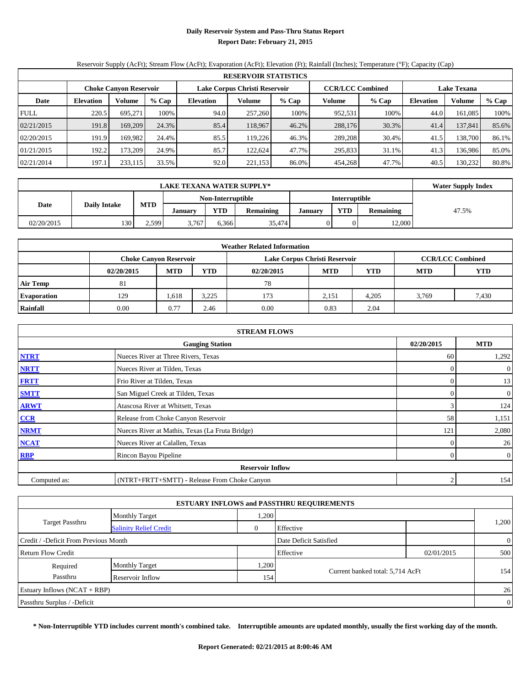# **Daily Reservoir System and Pass-Thru Status Report Report Date: February 21, 2015**

# Reservoir Supply (AcFt); Stream Flow (AcFt); Evaporation (AcFt); Elevation (Ft); Rainfall (Inches); Temperature (°F); Capacity (Cap)

|             | <b>RESERVOIR STATISTICS</b> |                               |       |                  |                               |       |                         |       |                    |         |       |  |  |  |  |
|-------------|-----------------------------|-------------------------------|-------|------------------|-------------------------------|-------|-------------------------|-------|--------------------|---------|-------|--|--|--|--|
|             |                             | <b>Choke Canyon Reservoir</b> |       |                  | Lake Corpus Christi Reservoir |       | <b>CCR/LCC Combined</b> |       | <b>Lake Texana</b> |         |       |  |  |  |  |
| Date        | <b>Elevation</b>            | Volume                        | % Cap | <b>Elevation</b> | Volume                        | % Cap | Volume                  | % Cap | <b>Elevation</b>   | Volume  | % Cap |  |  |  |  |
| <b>FULL</b> | 220.5                       | 695.271                       | 100%  | 94.0             | 257,260                       | 100%  | 952,531                 | 100%  | 44.0               | 161,085 | 100%  |  |  |  |  |
| 02/21/2015  | 191.8                       | 169,209                       | 24.3% | 85.4             | 118,967                       | 46.2% | 288,176                 | 30.3% | 41.4               | 137,841 | 85.6% |  |  |  |  |
| 02/20/2015  | 191.9                       | 169.9821                      | 24.4% | 85.5             | 119.226                       | 46.3% | 289,208                 | 30.4% | 41.5               | 138,700 | 86.1% |  |  |  |  |
| 01/21/2015  | 192.2                       | 173.209                       | 24.9% | 85.7             | 122.624                       | 47.7% | 295,833                 | 31.1% | 41.3               | 136.986 | 85.0% |  |  |  |  |
| 02/21/2014  | 197.1                       | 233,115                       | 33.5% | 92.0             | 221,153                       | 86.0% | 454.268                 | 47.7% | 40.5               | 130,232 | 80.8% |  |  |  |  |

|            | <b>LAKE TEXANA WATER SUPPLY*</b> |            |                |                   |                  |         |                      |                  |       |  |  |  |
|------------|----------------------------------|------------|----------------|-------------------|------------------|---------|----------------------|------------------|-------|--|--|--|
|            |                                  |            |                | Non-Interruptible |                  |         | <b>Interruptible</b> |                  |       |  |  |  |
| Date       | <b>Daily Intake</b>              | <b>MTD</b> | <b>January</b> | <b>YTD</b>        | <b>Remaining</b> | January | <b>YTD</b>           | <b>Remaining</b> | 47.5% |  |  |  |
| 02/20/2015 | 130                              | 2.599      | 3.767          | 6.366             | 35,474           |         |                      | 12.000           |       |  |  |  |

|                    |            |                               |            | <b>Weather Related Information</b> |                               |                         |            |            |
|--------------------|------------|-------------------------------|------------|------------------------------------|-------------------------------|-------------------------|------------|------------|
|                    |            | <b>Choke Canyon Reservoir</b> |            |                                    | Lake Corpus Christi Reservoir | <b>CCR/LCC Combined</b> |            |            |
|                    | 02/20/2015 | <b>MTD</b>                    | <b>YTD</b> | 02/20/2015                         | <b>MTD</b>                    | <b>YTD</b>              | <b>MTD</b> | <b>YTD</b> |
| <b>Air Temp</b>    | -81        |                               |            | 78                                 |                               |                         |            |            |
| <b>Evaporation</b> | 129        | 1,618                         | 3,225      | 173                                | 2,151                         | 4,205                   | 3.769      | 7,430      |
| Rainfall           | 0.00       | 0.77                          | 2.46       | 0.00                               | 0.83                          | 2.04                    |            |            |

|              | <b>STREAM FLOWS</b>                             |            |                  |
|--------------|-------------------------------------------------|------------|------------------|
|              | <b>Gauging Station</b>                          | 02/20/2015 | <b>MTD</b>       |
| <b>NTRT</b>  | Nueces River at Three Rivers, Texas             | 60         | 1,292            |
| <b>NRTT</b>  | Nueces River at Tilden, Texas                   | $\Omega$   | $\boldsymbol{0}$ |
| <b>FRTT</b>  | Frio River at Tilden, Texas                     | 0          | 13               |
| <b>SMTT</b>  | San Miguel Creek at Tilden, Texas               | 0          | 0                |
| <b>ARWT</b>  | Atascosa River at Whitsett, Texas               |            | 124              |
| CCR          | Release from Choke Canyon Reservoir             | 58         | 1,151            |
| <b>NRMT</b>  | Nueces River at Mathis, Texas (La Fruta Bridge) | 121        | 2,080            |
| <b>NCAT</b>  | Nueces River at Calallen, Texas                 | $\Omega$   | 26               |
| RBP          | Rincon Bayou Pipeline                           | $\Omega$   | $\boldsymbol{0}$ |
|              | <b>Reservoir Inflow</b>                         |            |                  |
| Computed as: | (NTRT+FRTT+SMTT) - Release From Choke Canyon    | ↑          | 154              |

|                                       |                               |                | <b>ESTUARY INFLOWS and PASSTHRU REQUIREMENTS</b> |            |                |
|---------------------------------------|-------------------------------|----------------|--------------------------------------------------|------------|----------------|
|                                       | <b>Monthly Target</b>         | .200           |                                                  |            |                |
| <b>Target Passthru</b>                | <b>Salinity Relief Credit</b> | $\overline{0}$ | Effective                                        |            | 1,200          |
| Credit / -Deficit From Previous Month |                               |                | Date Deficit Satisfied                           |            | $\overline{0}$ |
| <b>Return Flow Credit</b>             |                               |                | Effective                                        | 02/01/2015 | 500            |
| Required                              | <b>Monthly Target</b>         | ,200           |                                                  |            |                |
| Passthru                              | Reservoir Inflow              | 154            | Current banked total: 5,714 AcFt                 |            | 154            |
| Estuary Inflows $(NCAT + RBP)$        |                               |                |                                                  |            | 26             |
| Passthru Surplus / -Deficit           |                               |                |                                                  |            | $\overline{0}$ |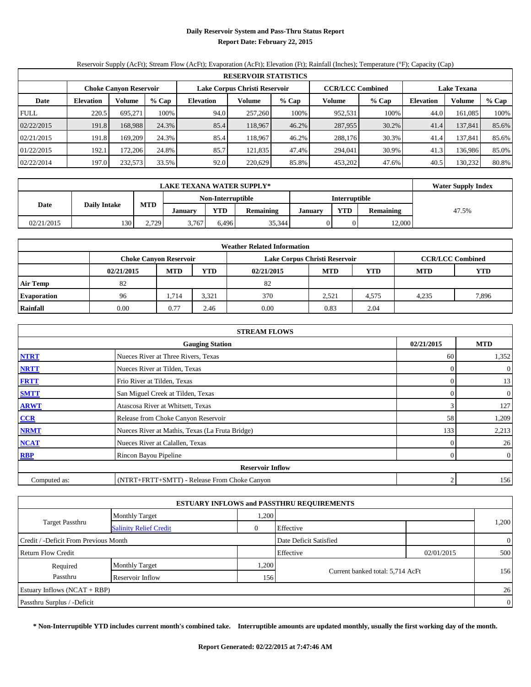# **Daily Reservoir System and Pass-Thru Status Report Report Date: February 22, 2015**

# Reservoir Supply (AcFt); Stream Flow (AcFt); Evaporation (AcFt); Elevation (Ft); Rainfall (Inches); Temperature (°F); Capacity (Cap)

|             | <b>RESERVOIR STATISTICS</b> |                               |       |                  |                               |         |                         |       |                    |         |       |  |  |  |  |
|-------------|-----------------------------|-------------------------------|-------|------------------|-------------------------------|---------|-------------------------|-------|--------------------|---------|-------|--|--|--|--|
|             |                             | <b>Choke Canyon Reservoir</b> |       |                  | Lake Corpus Christi Reservoir |         | <b>CCR/LCC Combined</b> |       | <b>Lake Texana</b> |         |       |  |  |  |  |
| Date        | <b>Elevation</b>            | Volume                        | % Cap | <b>Elevation</b> | Volume                        | $%$ Cap | Volume                  | % Cap | <b>Elevation</b>   | Volume  | % Cap |  |  |  |  |
| <b>FULL</b> | 220.5                       | 695.271                       | 100%  | 94.0             | 257,260                       | 100%    | 952,531                 | 100%  | 44.0               | 161,085 | 100%  |  |  |  |  |
| 02/22/2015  | 191.8                       | 168.988                       | 24.3% | 85.4             | 118.967                       | 46.2%   | 287,955                 | 30.2% | 41.4               | 137,841 | 85.6% |  |  |  |  |
| 02/21/2015  | 191.8                       | 169.209                       | 24.3% | 85.4             | 118.967                       | 46.2%   | 288,176                 | 30.3% | 41.4               | 137,841 | 85.6% |  |  |  |  |
| 01/22/2015  | 192.1                       | 172.206                       | 24.8% | 85.7             | 121.835                       | 47.4%   | 294,041                 | 30.9% | 41.3               | 136.986 | 85.0% |  |  |  |  |
| 02/22/2014  | 197.0                       | 232,573                       | 33.5% | 92.0             | 220,629                       | 85.8%   | 453.202                 | 47.6% | 40.5               | 130,232 | 80.8% |  |  |  |  |

|            | <b>LAKE TEXANA WATER SUPPLY*</b>                    |       |       |                   |                  |         |                      |                  |       |  |  |  |
|------------|-----------------------------------------------------|-------|-------|-------------------|------------------|---------|----------------------|------------------|-------|--|--|--|
|            |                                                     |       |       | Non-Interruptible |                  |         | <b>Interruptible</b> |                  |       |  |  |  |
| Date       | <b>MTD</b><br><b>Daily Intake</b><br><b>January</b> |       |       | <b>YTD</b>        | <b>Remaining</b> | January | <b>YTD</b>           | <b>Remaining</b> | 47.5% |  |  |  |
| 02/21/2015 | 130                                                 | 2.729 | 3.767 | 6.496             | 35,344           |         |                      | 12.000           |       |  |  |  |

|                    |            |                               |            | <b>Weather Related Information</b> |                               |                         |            |            |
|--------------------|------------|-------------------------------|------------|------------------------------------|-------------------------------|-------------------------|------------|------------|
|                    |            | <b>Choke Canyon Reservoir</b> |            |                                    | Lake Corpus Christi Reservoir | <b>CCR/LCC Combined</b> |            |            |
|                    | 02/21/2015 | <b>MTD</b>                    | <b>YTD</b> | 02/21/2015                         | <b>MTD</b>                    | <b>YTD</b>              | <b>MTD</b> | <b>YTD</b> |
| <b>Air Temp</b>    | 82         |                               |            | 82                                 |                               |                         |            |            |
| <b>Evaporation</b> | 96         | 1,714                         | 3,321      | 370                                | 2,521                         | 4,575                   | 4.235      | 7,896      |
| Rainfall           | 0.00       | 0.77                          | 2.46       | 0.00                               | 0.83                          | 2.04                    |            |            |

|              | <b>STREAM FLOWS</b>                             |            |                  |  |  |  |  |  |  |  |  |
|--------------|-------------------------------------------------|------------|------------------|--|--|--|--|--|--|--|--|
|              | <b>Gauging Station</b>                          | 02/21/2015 | <b>MTD</b>       |  |  |  |  |  |  |  |  |
| <b>NTRT</b>  | Nueces River at Three Rivers, Texas             | 60         | 1,352            |  |  |  |  |  |  |  |  |
| <b>NRTT</b>  | Nueces River at Tilden, Texas                   | 0          | $\boldsymbol{0}$ |  |  |  |  |  |  |  |  |
| <b>FRTT</b>  | Frio River at Tilden, Texas                     | 0          | 13               |  |  |  |  |  |  |  |  |
| <b>SMTT</b>  | San Miguel Creek at Tilden, Texas               | 0          | $\boldsymbol{0}$ |  |  |  |  |  |  |  |  |
| <b>ARWT</b>  | Atascosa River at Whitsett, Texas               |            | 127              |  |  |  |  |  |  |  |  |
| CCR          | Release from Choke Canyon Reservoir             | 58         | 1,209            |  |  |  |  |  |  |  |  |
| <b>NRMT</b>  | Nueces River at Mathis, Texas (La Fruta Bridge) | 133        | 2,213            |  |  |  |  |  |  |  |  |
| <b>NCAT</b>  | Nueces River at Calallen, Texas                 | 0          | 26               |  |  |  |  |  |  |  |  |
| RBP          | Rincon Bayou Pipeline                           | $\Omega$   | $\boldsymbol{0}$ |  |  |  |  |  |  |  |  |
|              | <b>Reservoir Inflow</b>                         |            |                  |  |  |  |  |  |  |  |  |
| Computed as: | (NTRT+FRTT+SMTT) - Release From Choke Canyon    | C          | 156              |  |  |  |  |  |  |  |  |

| <b>ESTUARY INFLOWS and PASSTHRU REQUIREMENTS</b> |                               |                |                                  |            |                |  |  |  |  |  |
|--------------------------------------------------|-------------------------------|----------------|----------------------------------|------------|----------------|--|--|--|--|--|
|                                                  | <b>Monthly Target</b>         | .200           |                                  |            |                |  |  |  |  |  |
| <b>Target Passthru</b>                           | <b>Salinity Relief Credit</b> | $\overline{0}$ | Effective                        |            | 1,200          |  |  |  |  |  |
| Credit / -Deficit From Previous Month            |                               |                | Date Deficit Satisfied           |            | $\overline{0}$ |  |  |  |  |  |
| <b>Return Flow Credit</b>                        |                               |                | Effective                        | 02/01/2015 | 500            |  |  |  |  |  |
| Required                                         | <b>Monthly Target</b>         | .200           |                                  |            |                |  |  |  |  |  |
| Passthru                                         | Reservoir Inflow              | 156            | Current banked total: 5,714 AcFt |            | 156            |  |  |  |  |  |
| Estuary Inflows $(NCAT + RBP)$                   |                               |                |                                  |            | 26             |  |  |  |  |  |
| Passthru Surplus / -Deficit                      |                               |                |                                  |            |                |  |  |  |  |  |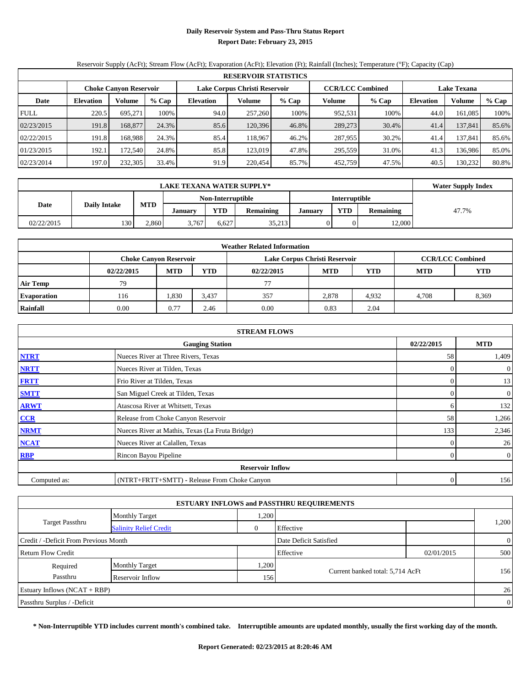# **Daily Reservoir System and Pass-Thru Status Report Report Date: February 23, 2015**

# Reservoir Supply (AcFt); Stream Flow (AcFt); Evaporation (AcFt); Elevation (Ft); Rainfall (Inches); Temperature (°F); Capacity (Cap)

|             | <b>RESERVOIR STATISTICS</b> |                               |       |                               |         |       |                         |       |                    |               |       |  |
|-------------|-----------------------------|-------------------------------|-------|-------------------------------|---------|-------|-------------------------|-------|--------------------|---------------|-------|--|
|             |                             | <b>Choke Canyon Reservoir</b> |       | Lake Corpus Christi Reservoir |         |       | <b>CCR/LCC Combined</b> |       | <b>Lake Texana</b> |               |       |  |
| Date        | <b>Elevation</b>            | Volume                        | % Cap | <b>Elevation</b>              | Volume  | % Cap | Volume                  | % Cap | Elevation          | <b>Volume</b> | % Cap |  |
| <b>FULL</b> | 220.5                       | 695.271                       | 100%  | 94.0                          | 257,260 | 100%  | 952,531                 | 100%  | 44.0               | 161.085       | 100%  |  |
| 02/23/2015  | 191.8                       | 168,877                       | 24.3% | 85.6                          | 120.396 | 46.8% | 289,273                 | 30.4% | 41.4               | 137,841       | 85.6% |  |
| 02/22/2015  | 191.8                       | 168.988                       | 24.3% | 85.4                          | 118.967 | 46.2% | 287,955                 | 30.2% | 41.4               | 137.841       | 85.6% |  |
| 01/23/2015  | 192.1                       | 172.540                       | 24.8% | 85.8                          | 123,019 | 47.8% | 295,559                 | 31.0% | 41.3               | 136.986       | 85.0% |  |
| 02/23/2014  | 197.0                       | 232,305                       | 33.4% | 91.9                          | 220,454 | 85.7% | 452,759                 | 47.5% | 40.5               | 130.232       | 80.8% |  |

|            | <b>Water Supply Index</b> |                                           |                |            |                  |         |            |                  |       |
|------------|---------------------------|-------------------------------------------|----------------|------------|------------------|---------|------------|------------------|-------|
|            |                           | Non-Interruptible<br><b>Interruptible</b> |                |            |                  |         |            |                  |       |
| Date       | <b>Daily Intake</b>       | <b>MTD</b>                                | <b>January</b> | <b>YTD</b> | <b>Remaining</b> | January | <b>VTD</b> | <b>Remaining</b> | 47.7% |
| 02/22/2015 | 130                       | 2,860                                     | 3,767          | 6.627      | 35,213           |         |            | 12,000           |       |

| <b>Weather Related Information</b> |            |                               |            |                               |            |                         |            |            |  |  |  |
|------------------------------------|------------|-------------------------------|------------|-------------------------------|------------|-------------------------|------------|------------|--|--|--|
|                                    |            | <b>Choke Canyon Reservoir</b> |            | Lake Corpus Christi Reservoir |            | <b>CCR/LCC Combined</b> |            |            |  |  |  |
|                                    | 02/22/2015 | <b>MTD</b>                    | <b>YTD</b> | 02/22/2015                    | <b>MTD</b> | <b>YTD</b>              | <b>MTD</b> | <b>YTD</b> |  |  |  |
| <b>Air Temp</b>                    | 79         |                               |            |                               |            |                         |            |            |  |  |  |
| <b>Evaporation</b>                 | 116        | 1,830                         | 3,437      | 357                           | 2,878      | 4,932                   | 4.708      | 8,369      |  |  |  |
| Rainfall                           | 0.00       | 0.77                          | 2.46       | 0.00                          | 0.83       | 2.04                    |            |            |  |  |  |

|              | <b>STREAM FLOWS</b>                             |              |                  |  |  |  |  |  |  |  |  |
|--------------|-------------------------------------------------|--------------|------------------|--|--|--|--|--|--|--|--|
|              | <b>Gauging Station</b>                          |              |                  |  |  |  |  |  |  |  |  |
| <b>NTRT</b>  | Nueces River at Three Rivers, Texas             | 58           | 1,409            |  |  |  |  |  |  |  |  |
| <b>NRTT</b>  | Nueces River at Tilden, Texas                   | 0            | $\boldsymbol{0}$ |  |  |  |  |  |  |  |  |
| <b>FRTT</b>  | Frio River at Tilden, Texas                     | 0            | 13               |  |  |  |  |  |  |  |  |
| <b>SMTT</b>  | San Miguel Creek at Tilden, Texas               | 0            | $\boldsymbol{0}$ |  |  |  |  |  |  |  |  |
| <b>ARWT</b>  | Atascosa River at Whitsett, Texas               | <sub>(</sub> | 132              |  |  |  |  |  |  |  |  |
| CCR          | Release from Choke Canyon Reservoir             | 58           | 1,266            |  |  |  |  |  |  |  |  |
| <b>NRMT</b>  | Nueces River at Mathis, Texas (La Fruta Bridge) | 133          | 2,346            |  |  |  |  |  |  |  |  |
| <b>NCAT</b>  | Nueces River at Calallen, Texas                 | 0            | 26               |  |  |  |  |  |  |  |  |
| RBP          | Rincon Bayou Pipeline                           | $\Omega$     | $\boldsymbol{0}$ |  |  |  |  |  |  |  |  |
|              | <b>Reservoir Inflow</b>                         |              |                  |  |  |  |  |  |  |  |  |
| Computed as: | (NTRT+FRTT+SMTT) - Release From Choke Canyon    | $\Omega$     | 156              |  |  |  |  |  |  |  |  |

| <b>ESTUARY INFLOWS and PASSTHRU REQUIREMENTS</b> |                               |                |                                  |            |                |  |  |  |  |  |
|--------------------------------------------------|-------------------------------|----------------|----------------------------------|------------|----------------|--|--|--|--|--|
|                                                  | <b>Monthly Target</b>         | .200           |                                  |            |                |  |  |  |  |  |
| <b>Target Passthru</b>                           | <b>Salinity Relief Credit</b> | $\overline{0}$ | Effective                        |            | 1,200          |  |  |  |  |  |
| Credit / -Deficit From Previous Month            |                               |                | Date Deficit Satisfied           |            | $\overline{0}$ |  |  |  |  |  |
| <b>Return Flow Credit</b>                        |                               |                | Effective                        | 02/01/2015 | 500            |  |  |  |  |  |
| Required                                         | <b>Monthly Target</b>         | .200           |                                  |            |                |  |  |  |  |  |
| Passthru                                         | Reservoir Inflow              | 156            | Current banked total: 5,714 AcFt |            | 156            |  |  |  |  |  |
| Estuary Inflows $(NCAT + RBP)$                   |                               |                |                                  |            | 26             |  |  |  |  |  |
| Passthru Surplus / -Deficit                      |                               |                |                                  |            | $\overline{0}$ |  |  |  |  |  |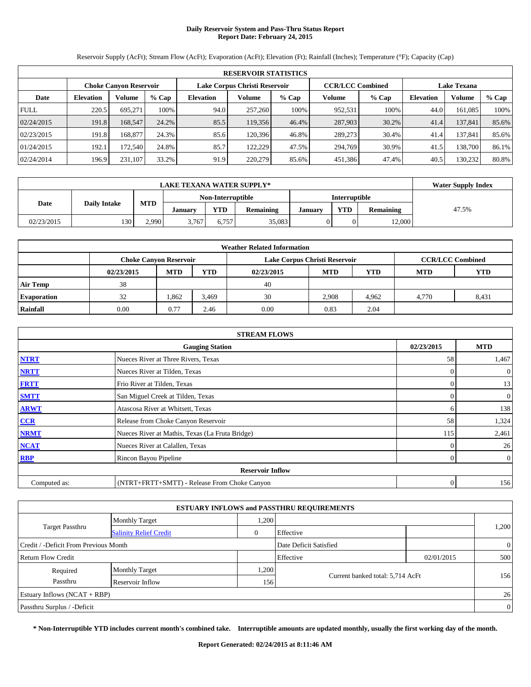#### **Daily Reservoir System and Pass-Thru Status Report Report Date: February 24, 2015**

Reservoir Supply (AcFt); Stream Flow (AcFt); Evaporation (AcFt); Elevation (Ft); Rainfall (Inches); Temperature (°F); Capacity (Cap)

|             | <b>RESERVOIR STATISTICS</b> |                               |       |                               |         |         |                         |       |                    |               |       |  |  |
|-------------|-----------------------------|-------------------------------|-------|-------------------------------|---------|---------|-------------------------|-------|--------------------|---------------|-------|--|--|
|             |                             | <b>Choke Canyon Reservoir</b> |       | Lake Corpus Christi Reservoir |         |         | <b>CCR/LCC Combined</b> |       | <b>Lake Texana</b> |               |       |  |  |
| Date        | <b>Elevation</b>            | Volume                        | % Cap | <b>Elevation</b>              | Volume  | $%$ Cap | Volume                  | % Cap | <b>Elevation</b>   | <b>Volume</b> | % Cap |  |  |
| <b>FULL</b> | 220.5                       | 695.271                       | 100%  | 94.0                          | 257,260 | 100%    | 952,531                 | 100%  | 44.0               | 161,085       | 100%  |  |  |
| 02/24/2015  | 191.8                       | 168.547                       | 24.2% | 85.5                          | 119.356 | 46.4%   | 287,903                 | 30.2% | 41.4               | 137,841       | 85.6% |  |  |
| 02/23/2015  | 191.8                       | 168.877                       | 24.3% | 85.6                          | 120,396 | 46.8%   | 289,273                 | 30.4% | 41.4               | 137.841       | 85.6% |  |  |
| 01/24/2015  | 192.1                       | 172.540                       | 24.8% | 85.7                          | 122.229 | 47.5%   | 294.769                 | 30.9% | 41.5               | 138.700       | 86.1% |  |  |
| 02/24/2014  | 196.9                       | 231.107                       | 33.2% | 91.9                          | 220,279 | 85.6%   | 451,386                 | 47.4% | 40.5               | 130.232       | 80.8% |  |  |

|            | <b>Water Supply Index</b> |            |                   |            |                  |                |               |           |       |
|------------|---------------------------|------------|-------------------|------------|------------------|----------------|---------------|-----------|-------|
|            |                           |            | Non-Interruptible |            |                  |                | Interruptible |           |       |
| Date       | <b>Daily Intake</b>       | <b>MTD</b> | January           | <b>YTD</b> | <b>Remaining</b> | <b>January</b> | YTD           | Remaining | 47.5% |
| 02/23/2015 | 130                       | 2.990      | 3,767             | 6.757      | 35.083           |                |               | 12,000    |       |

| <b>Weather Related Information</b> |                               |            |            |            |                               |                         |            |       |  |  |
|------------------------------------|-------------------------------|------------|------------|------------|-------------------------------|-------------------------|------------|-------|--|--|
|                                    | <b>Choke Canyon Reservoir</b> |            |            |            | Lake Corpus Christi Reservoir | <b>CCR/LCC Combined</b> |            |       |  |  |
|                                    | 02/23/2015                    | <b>MTD</b> | <b>YTD</b> | 02/23/2015 | <b>MTD</b>                    | <b>MTD</b>              | <b>YTD</b> |       |  |  |
| <b>Air Temp</b>                    | 38                            |            |            | 40         |                               |                         |            |       |  |  |
| <b>Evaporation</b>                 | 32                            | 1,862      | 3,469      | 30         | 2,908                         | 4.962                   | 4.770      | 8,431 |  |  |
| Rainfall                           | 0.00                          | 0.77       | 2.46       | 0.00       | 0.83                          | 2.04                    |            |       |  |  |

|              | <b>STREAM FLOWS</b>                             |            |                  |  |  |  |  |  |  |  |
|--------------|-------------------------------------------------|------------|------------------|--|--|--|--|--|--|--|
|              | <b>Gauging Station</b>                          | 02/23/2015 | <b>MTD</b>       |  |  |  |  |  |  |  |
| <b>NTRT</b>  | Nueces River at Three Rivers, Texas             | 58         | 1,467            |  |  |  |  |  |  |  |
| <b>NRTT</b>  | Nueces River at Tilden, Texas                   | $\Omega$   | $\overline{0}$   |  |  |  |  |  |  |  |
| <b>FRTT</b>  | Frio River at Tilden, Texas                     | $\Omega$   | 13               |  |  |  |  |  |  |  |
| <b>SMTT</b>  | San Miguel Creek at Tilden, Texas               | 0          | $\boldsymbol{0}$ |  |  |  |  |  |  |  |
| <b>ARWT</b>  | Atascosa River at Whitsett, Texas               | h          | 138              |  |  |  |  |  |  |  |
| CCR          | Release from Choke Canyon Reservoir             | 58         | 1,324            |  |  |  |  |  |  |  |
| <b>NRMT</b>  | Nueces River at Mathis, Texas (La Fruta Bridge) | 115        | 2,461            |  |  |  |  |  |  |  |
| <b>NCAT</b>  | Nueces River at Calallen, Texas                 | $\Omega$   | 26               |  |  |  |  |  |  |  |
| <b>RBP</b>   | Rincon Bayou Pipeline                           | $\Omega$   | $\overline{0}$   |  |  |  |  |  |  |  |
|              | <b>Reservoir Inflow</b>                         |            |                  |  |  |  |  |  |  |  |
| Computed as: | (NTRT+FRTT+SMTT) - Release From Choke Canyon    | $\Omega$   | 156              |  |  |  |  |  |  |  |

|                                       |                               |              | <b>ESTUARY INFLOWS and PASSTHRU REQUIREMENTS</b> |            |                |  |
|---------------------------------------|-------------------------------|--------------|--------------------------------------------------|------------|----------------|--|
|                                       | <b>Monthly Target</b>         | ,200         |                                                  |            |                |  |
| Target Passthru                       | <b>Salinity Relief Credit</b> | $\mathbf{0}$ | Effective                                        |            | 1,200          |  |
| Credit / -Deficit From Previous Month |                               |              | Date Deficit Satisfied                           |            | $\overline{0}$ |  |
| Return Flow Credit                    |                               |              | Effective                                        | 02/01/2015 | 500            |  |
| Required                              | <b>Monthly Target</b>         | .200         | Current banked total: 5,714 AcFt                 |            |                |  |
| Passthru                              | Reservoir Inflow              | 1561         |                                                  |            | 156            |  |
| Estuary Inflows $(NCAT + RBP)$        |                               |              |                                                  |            | 26             |  |
| Passthru Surplus / -Deficit           |                               |              |                                                  |            | $\overline{0}$ |  |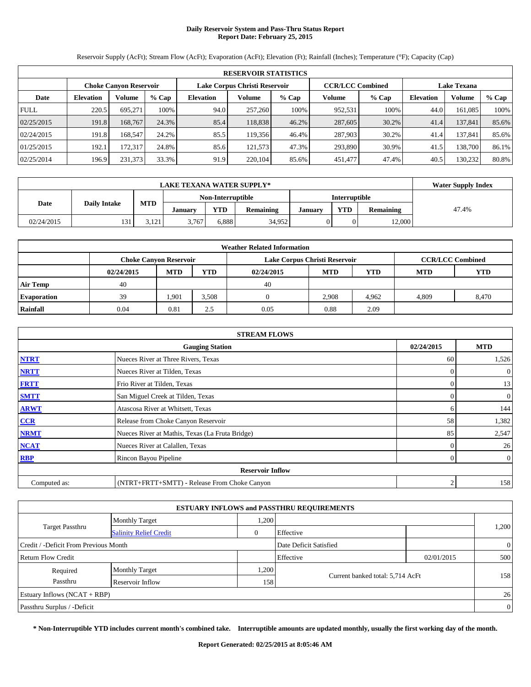#### **Daily Reservoir System and Pass-Thru Status Report Report Date: February 25, 2015**

Reservoir Supply (AcFt); Stream Flow (AcFt); Evaporation (AcFt); Elevation (Ft); Rainfall (Inches); Temperature (°F); Capacity (Cap)

|             | <b>RESERVOIR STATISTICS</b> |                               |       |                               |         |         |                         |       |                    |               |       |  |
|-------------|-----------------------------|-------------------------------|-------|-------------------------------|---------|---------|-------------------------|-------|--------------------|---------------|-------|--|
|             |                             | <b>Choke Canyon Reservoir</b> |       | Lake Corpus Christi Reservoir |         |         | <b>CCR/LCC Combined</b> |       | <b>Lake Texana</b> |               |       |  |
| Date        | Volume<br><b>Elevation</b>  |                               | % Cap | <b>Elevation</b>              | Volume  | $%$ Cap | Volume                  | % Cap | <b>Elevation</b>   | <b>Volume</b> | % Cap |  |
| <b>FULL</b> | 220.5                       | 695.271                       | 100%  | 94.0                          | 257,260 | 100%    | 952,531                 | 100%  | 44.0               | 161,085       | 100%  |  |
| 02/25/2015  | 191.8                       | 168.767                       | 24.3% | 85.4                          | 118.838 | 46.2%   | 287,605                 | 30.2% | 41.4               | 137,841       | 85.6% |  |
| 02/24/2015  | 191.8                       | 168.547                       | 24.2% | 85.5                          | 119,356 | 46.4%   | 287,903                 | 30.2% | 41.4               | 137.841       | 85.6% |  |
| 01/25/2015  | 192.1                       | 172.317                       | 24.8% | 85.6                          | 121.573 | 47.3%   | 293,890                 | 30.9% | 41.5               | 138.700       | 86.1% |  |
| 02/25/2014  | 196.9                       | 231,373                       | 33.3% | 91.9                          | 220.104 | 85.6%   | 451,477                 | 47.4% | 40.5               | 130.232       | 80.8% |  |

|            | <b>LAKE TEXANA WATER SUPPLY*</b> |            |                   |                                                                             |        |  |               |        |  |  |  |  |
|------------|----------------------------------|------------|-------------------|-----------------------------------------------------------------------------|--------|--|---------------|--------|--|--|--|--|
|            |                                  |            | Non-Interruptible |                                                                             |        |  | Interruptible |        |  |  |  |  |
| Date       | <b>Daily Intake</b>              | <b>MTD</b> | January           | <b>YTD</b><br><b>YTD</b><br><b>Remaining</b><br>Remaining<br><b>January</b> |        |  |               | 47.4%  |  |  |  |  |
| 02/24/2015 | 131                              | 2121       | 3.767             | 5.888                                                                       | 34.952 |  |               | 12.000 |  |  |  |  |

| <b>Weather Related Information</b> |                                             |            |            |            |                               |            |                         |       |  |  |  |
|------------------------------------|---------------------------------------------|------------|------------|------------|-------------------------------|------------|-------------------------|-------|--|--|--|
|                                    | <b>Choke Canyon Reservoir</b>               |            |            |            | Lake Corpus Christi Reservoir |            | <b>CCR/LCC Combined</b> |       |  |  |  |
|                                    | 02/24/2015                                  | <b>MTD</b> | <b>YTD</b> | 02/24/2015 | <b>MTD</b>                    | <b>MTD</b> | <b>YTD</b>              |       |  |  |  |
| <b>Air Temp</b>                    | 40                                          |            |            | 40         |                               |            |                         |       |  |  |  |
| <b>Evaporation</b>                 | 39                                          | 1,901      | 3,508      |            | 2,908                         | 4.962      | 4.809                   | 8,470 |  |  |  |
| Rainfall                           | 0.88<br>2.09<br>0.04<br>0.81<br>0.05<br>2.5 |            |            |            |                               |            |                         |       |  |  |  |

| <b>STREAM FLOWS</b> |                                                 |                |                  |  |  |  |  |  |  |
|---------------------|-------------------------------------------------|----------------|------------------|--|--|--|--|--|--|
|                     | <b>Gauging Station</b>                          | 02/24/2015     | <b>MTD</b>       |  |  |  |  |  |  |
| <b>NTRT</b>         | Nueces River at Three Rivers, Texas             | 60             | 1,526            |  |  |  |  |  |  |
| <b>NRTT</b>         | Nueces River at Tilden, Texas                   | $\Omega$       | $\overline{0}$   |  |  |  |  |  |  |
| <b>FRTT</b>         | Frio River at Tilden, Texas                     | $\overline{0}$ | 13               |  |  |  |  |  |  |
| <b>SMTT</b>         | San Miguel Creek at Tilden, Texas               | $\Omega$       | $\boldsymbol{0}$ |  |  |  |  |  |  |
| <b>ARWT</b>         | Atascosa River at Whitsett, Texas               | 6              | 144              |  |  |  |  |  |  |
| CCR                 | Release from Choke Canyon Reservoir             | 58             | 1,382            |  |  |  |  |  |  |
| <b>NRMT</b>         | Nueces River at Mathis, Texas (La Fruta Bridge) | 85             | 2,547            |  |  |  |  |  |  |
| <b>NCAT</b>         | Nueces River at Calallen, Texas                 |                | 26               |  |  |  |  |  |  |
| <b>RBP</b>          | Rincon Bayou Pipeline                           | $\Omega$       | $\boldsymbol{0}$ |  |  |  |  |  |  |
|                     | <b>Reservoir Inflow</b>                         |                |                  |  |  |  |  |  |  |
| Computed as:        | (NTRT+FRTT+SMTT) - Release From Choke Canyon    | C              | 158              |  |  |  |  |  |  |

| <b>ESTUARY INFLOWS and PASSTHRU REQUIREMENTS</b> |                               |          |                                  |            |                |  |  |  |  |
|--------------------------------------------------|-------------------------------|----------|----------------------------------|------------|----------------|--|--|--|--|
|                                                  | <b>Monthly Target</b>         | .200     |                                  |            |                |  |  |  |  |
| <b>Target Passthru</b>                           | <b>Salinity Relief Credit</b> | $\theta$ | Effective                        |            | 1,200          |  |  |  |  |
| Credit / -Deficit From Previous Month            |                               |          | Date Deficit Satisfied           |            | $\overline{0}$ |  |  |  |  |
| Return Flow Credit                               |                               |          | Effective                        | 02/01/2015 | 500            |  |  |  |  |
| Required                                         | <b>Monthly Target</b>         | .200     |                                  |            |                |  |  |  |  |
| Passthru                                         | Reservoir Inflow              | 158      | Current banked total: 5,714 AcFt |            | 158            |  |  |  |  |
| Estuary Inflows $(NCAT + RBP)$                   |                               |          |                                  |            | 26             |  |  |  |  |
| Passthru Surplus / -Deficit                      |                               |          |                                  |            | $\overline{0}$ |  |  |  |  |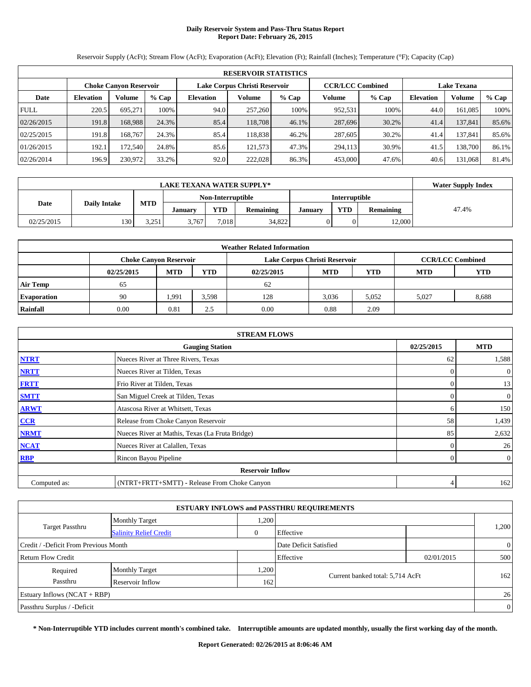#### **Daily Reservoir System and Pass-Thru Status Report Report Date: February 26, 2015**

Reservoir Supply (AcFt); Stream Flow (AcFt); Evaporation (AcFt); Elevation (Ft); Rainfall (Inches); Temperature (°F); Capacity (Cap)

|             | <b>RESERVOIR STATISTICS</b> |                               |       |                               |         |       |                         |         |                    |               |       |  |
|-------------|-----------------------------|-------------------------------|-------|-------------------------------|---------|-------|-------------------------|---------|--------------------|---------------|-------|--|
|             |                             | <b>Choke Canyon Reservoir</b> |       | Lake Corpus Christi Reservoir |         |       | <b>CCR/LCC Combined</b> |         | <b>Lake Texana</b> |               |       |  |
| Date        | <b>Elevation</b>            | Volume<br>% Cap               |       | <b>Elevation</b>              | Volume  | % Cap | Volume                  | $%$ Cap | <b>Elevation</b>   | <b>Volume</b> | % Cap |  |
| <b>FULL</b> | 220.5                       | 695.271                       | 100%  | 94.0                          | 257,260 | 100%  | 952,531                 | 100%    | 44.0               | 161,085       | 100%  |  |
| 02/26/2015  | 191.8                       | 168.988                       | 24.3% | 85.4                          | 118,708 | 46.1% | 287,696                 | 30.2%   | 41.4               | 137,841       | 85.6% |  |
| 02/25/2015  | 191.8                       | 168.767                       | 24.3% | 85.4                          | 118.838 | 46.2% | 287,605                 | 30.2%   | 41.4               | 137.841       | 85.6% |  |
| 01/26/2015  | 192.1                       | 172.540                       | 24.8% | 85.6                          | 121.573 | 47.3% | 294.113                 | 30.9%   | 41.5               | 138.700       | 86.1% |  |
| 02/26/2014  | 196.9                       | 230,972                       | 33.2% | 92.0                          | 222,028 | 86.3% | 453,000                 | 47.6%   | 40.6               | 131,068       | 81.4% |  |

|            | <b>LAKE TEXANA WATER SUPPLY*</b> |                 |                   |                                                                      |        |  |               |        |  |  |  |  |
|------------|----------------------------------|-----------------|-------------------|----------------------------------------------------------------------|--------|--|---------------|--------|--|--|--|--|
|            |                                  |                 | Non-Interruptible |                                                                      |        |  | Interruptible |        |  |  |  |  |
| Date       | <b>Daily Intake</b>              | <b>MTD</b>      | January           | <b>YTD</b><br>YTD<br><b>Remaining</b><br>Remaining<br><b>January</b> |        |  |               | 47.4%  |  |  |  |  |
| 02/25/2015 | 130                              | 3.251<br>⊥ ر∠…ر | 3.767             | 7.018                                                                | 34.822 |  |               | 12.000 |  |  |  |  |

| <b>Weather Related Information</b> |            |                               |            |            |                               |            |                         |       |  |  |  |
|------------------------------------|------------|-------------------------------|------------|------------|-------------------------------|------------|-------------------------|-------|--|--|--|
|                                    |            | <b>Choke Canyon Reservoir</b> |            |            | Lake Corpus Christi Reservoir |            | <b>CCR/LCC Combined</b> |       |  |  |  |
|                                    | 02/25/2015 | <b>MTD</b>                    | <b>YTD</b> | 02/25/2015 | <b>MTD</b>                    | <b>MTD</b> | <b>YTD</b>              |       |  |  |  |
| <b>Air Temp</b>                    | 65         |                               |            | 62         |                               |            |                         |       |  |  |  |
| <b>Evaporation</b>                 | 90         | 1,991                         | 3,598      | 128        | 3,036                         | 5,052      | 5.027                   | 8,688 |  |  |  |
| Rainfall                           | 0.00       | 0.81                          | 2.5        | 0.00       | 0.88                          | 2.09       |                         |       |  |  |  |

| <b>STREAM FLOWS</b> |                                                 |                |                  |  |  |  |  |  |  |
|---------------------|-------------------------------------------------|----------------|------------------|--|--|--|--|--|--|
|                     | <b>Gauging Station</b>                          |                |                  |  |  |  |  |  |  |
| <b>NTRT</b>         | Nueces River at Three Rivers, Texas             | 62             | 1,588            |  |  |  |  |  |  |
| <b>NRTT</b>         | Nueces River at Tilden, Texas                   | $\Omega$       | $\boldsymbol{0}$ |  |  |  |  |  |  |
| <b>FRTT</b>         | Frio River at Tilden, Texas                     | $\Omega$       | 13               |  |  |  |  |  |  |
| <b>SMTT</b>         | San Miguel Creek at Tilden, Texas               | $\Omega$       | $\boldsymbol{0}$ |  |  |  |  |  |  |
| <b>ARWT</b>         | Atascosa River at Whitsett, Texas               | 6              | 150              |  |  |  |  |  |  |
| CCR                 | Release from Choke Canyon Reservoir             | 58             | 1,439            |  |  |  |  |  |  |
| <b>NRMT</b>         | Nueces River at Mathis, Texas (La Fruta Bridge) | 85             | 2,632            |  |  |  |  |  |  |
| <b>NCAT</b>         | Nueces River at Calallen, Texas                 |                | 26               |  |  |  |  |  |  |
| <b>RBP</b>          | Rincon Bayou Pipeline                           | $\overline{0}$ | $\boldsymbol{0}$ |  |  |  |  |  |  |
|                     | <b>Reservoir Inflow</b>                         |                |                  |  |  |  |  |  |  |
| Computed as:        | (NTRT+FRTT+SMTT) - Release From Choke Canyon    | 4              | 162              |  |  |  |  |  |  |

| <b>ESTUARY INFLOWS and PASSTHRU REQUIREMENTS</b> |                               |              |                                  |            |                |  |  |  |  |  |
|--------------------------------------------------|-------------------------------|--------------|----------------------------------|------------|----------------|--|--|--|--|--|
|                                                  | <b>Monthly Target</b>         | .200         |                                  |            |                |  |  |  |  |  |
| <b>Target Passthru</b>                           | <b>Salinity Relief Credit</b> | $\mathbf{0}$ | Effective                        |            | 1,200          |  |  |  |  |  |
| Credit / -Deficit From Previous Month            |                               |              | Date Deficit Satisfied           |            | $\overline{0}$ |  |  |  |  |  |
| Return Flow Credit                               |                               |              | Effective                        | 02/01/2015 | 500            |  |  |  |  |  |
| Required                                         | <b>Monthly Target</b>         | .200         |                                  |            |                |  |  |  |  |  |
| Passthru                                         | Reservoir Inflow              | 162          | Current banked total: 5,714 AcFt |            | 162            |  |  |  |  |  |
| <b>Estuary Inflows (NCAT + RBP)</b>              |                               |              |                                  |            | 26             |  |  |  |  |  |
| Passthru Surplus / -Deficit                      |                               |              |                                  |            |                |  |  |  |  |  |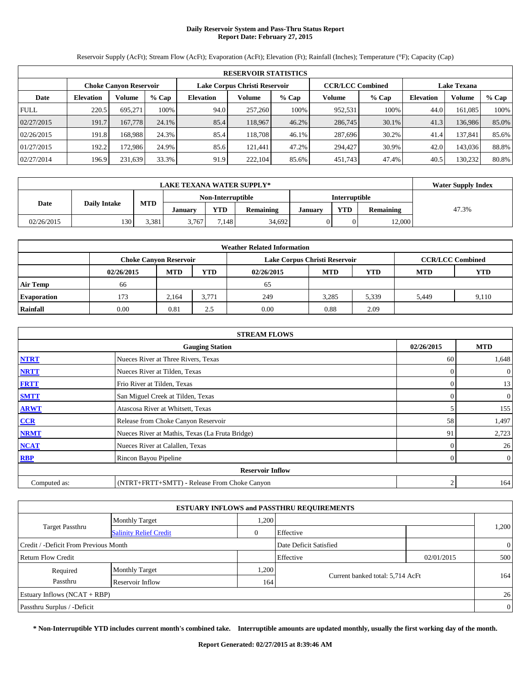#### **Daily Reservoir System and Pass-Thru Status Report Report Date: February 27, 2015**

Reservoir Supply (AcFt); Stream Flow (AcFt); Evaporation (AcFt); Elevation (Ft); Rainfall (Inches); Temperature (°F); Capacity (Cap)

|             | <b>RESERVOIR STATISTICS</b> |                               |       |                               |         |         |                         |       |                    |               |       |  |
|-------------|-----------------------------|-------------------------------|-------|-------------------------------|---------|---------|-------------------------|-------|--------------------|---------------|-------|--|
|             |                             | <b>Choke Canyon Reservoir</b> |       | Lake Corpus Christi Reservoir |         |         | <b>CCR/LCC Combined</b> |       | <b>Lake Texana</b> |               |       |  |
| Date        | Volume<br><b>Elevation</b>  |                               | % Cap | <b>Elevation</b>              | Volume  | $%$ Cap | Volume<br>% Cap         |       | <b>Elevation</b>   | <b>Volume</b> | % Cap |  |
| <b>FULL</b> | 220.5                       | 695.271                       | 100%  | 94.0                          | 257,260 | 100%    | 952,531                 | 100%  | 44.0               | 161,085       | 100%  |  |
| 02/27/2015  | 191.7                       | 167,778                       | 24.1% | 85.4                          | 118,967 | 46.2%   | 286,745                 | 30.1% | 41.3               | 136,986       | 85.0% |  |
| 02/26/2015  | 191.8                       | 168.988                       | 24.3% | 85.4                          | 118.708 | 46.1%   | 287,696                 | 30.2% | 41.4               | 137.841       | 85.6% |  |
| 01/27/2015  | 192.2                       | 172.986                       | 24.9% | 85.6                          | 121.441 | 47.2%   | 294.427                 | 30.9% | 42.0               | 143,036       | 88.8% |  |
| 02/27/2014  | 196.9                       | 231,639                       | 33.3% | 91.9                          | 222,104 | 85.6%   | 451,743                 | 47.4% | 40.5               | 130.232       | 80.8% |  |

|            | <b>LAKE TEXANA WATER SUPPLY*</b> |            |                   |                                                                             |        |  |               |        |  |  |  |  |
|------------|----------------------------------|------------|-------------------|-----------------------------------------------------------------------------|--------|--|---------------|--------|--|--|--|--|
|            |                                  |            | Non-Interruptible |                                                                             |        |  | Interruptible |        |  |  |  |  |
| Date       | <b>Daily Intake</b>              | <b>MTD</b> | January           | <b>YTD</b><br><b>YTD</b><br><b>Remaining</b><br>Remaining<br><b>January</b> |        |  |               | 47.3%  |  |  |  |  |
| 02/26/2015 | 130                              | 3.381      | 3.767             | 7.148                                                                       | 34.692 |  |               | 12.000 |  |  |  |  |

| <b>Weather Related Information</b> |            |                               |            |            |                               |                         |            |       |  |
|------------------------------------|------------|-------------------------------|------------|------------|-------------------------------|-------------------------|------------|-------|--|
|                                    |            | <b>Choke Canyon Reservoir</b> |            |            | Lake Corpus Christi Reservoir | <b>CCR/LCC Combined</b> |            |       |  |
|                                    | 02/26/2015 | <b>MTD</b>                    | <b>YTD</b> | 02/26/2015 | <b>MTD</b>                    | <b>MTD</b>              | <b>YTD</b> |       |  |
| <b>Air Temp</b>                    | 66         |                               |            | 65         |                               |                         |            |       |  |
| <b>Evaporation</b>                 | 173        | 2.164                         | 3.771      | 249        | 3,285                         | 5,339                   | 5.449      | 9,110 |  |
| Rainfall                           | 0.00       | 0.81                          | 2.5        | 0.00       | 0.88                          | 2.09                    |            |       |  |

| <b>STREAM FLOWS</b> |                                                 |                |                  |  |  |  |  |  |
|---------------------|-------------------------------------------------|----------------|------------------|--|--|--|--|--|
|                     | 02/26/2015                                      | <b>MTD</b>     |                  |  |  |  |  |  |
| <b>NTRT</b>         | 60                                              | 1,648          |                  |  |  |  |  |  |
| <b>NRTT</b>         | Nueces River at Tilden, Texas                   | $\Omega$       | $\boldsymbol{0}$ |  |  |  |  |  |
| <b>FRTT</b>         | Frio River at Tilden, Texas                     | $\Omega$       | 13               |  |  |  |  |  |
| <b>SMTT</b>         | San Miguel Creek at Tilden, Texas               | $\Omega$       | $\boldsymbol{0}$ |  |  |  |  |  |
| <b>ARWT</b>         | Atascosa River at Whitsett, Texas               |                | 155              |  |  |  |  |  |
| CCR                 | Release from Choke Canyon Reservoir             | 58             | 1,497            |  |  |  |  |  |
| <b>NRMT</b>         | Nueces River at Mathis, Texas (La Fruta Bridge) | 91             | 2,723            |  |  |  |  |  |
| <b>NCAT</b>         | Nueces River at Calallen, Texas                 |                | 26               |  |  |  |  |  |
| <b>RBP</b>          | Rincon Bayou Pipeline                           | $\overline{0}$ | $\boldsymbol{0}$ |  |  |  |  |  |
|                     | <b>Reservoir Inflow</b>                         |                |                  |  |  |  |  |  |
| Computed as:        | (NTRT+FRTT+SMTT) - Release From Choke Canyon    | 2              | 164              |  |  |  |  |  |

|                                       |                               |          | <b>ESTUARY INFLOWS and PASSTHRU REQUIREMENTS</b> |            |                |
|---------------------------------------|-------------------------------|----------|--------------------------------------------------|------------|----------------|
| <b>Target Passthru</b>                | <b>Monthly Target</b>         | .200     |                                                  |            |                |
|                                       | <b>Salinity Relief Credit</b> | $\theta$ | Effective                                        |            | 1,200          |
| Credit / -Deficit From Previous Month |                               |          | Date Deficit Satisfied                           |            | $\overline{0}$ |
| Return Flow Credit                    |                               |          | Effective                                        | 02/01/2015 | 500            |
| Required                              | <b>Monthly Target</b>         | .200     |                                                  |            |                |
| Passthru                              | Reservoir Inflow              | 164      | Current banked total: 5,714 AcFt                 |            | 164            |
| Estuary Inflows $(NCAT + RBP)$        |                               |          |                                                  |            |                |
| Passthru Surplus / -Deficit           |                               |          |                                                  |            | $\overline{0}$ |